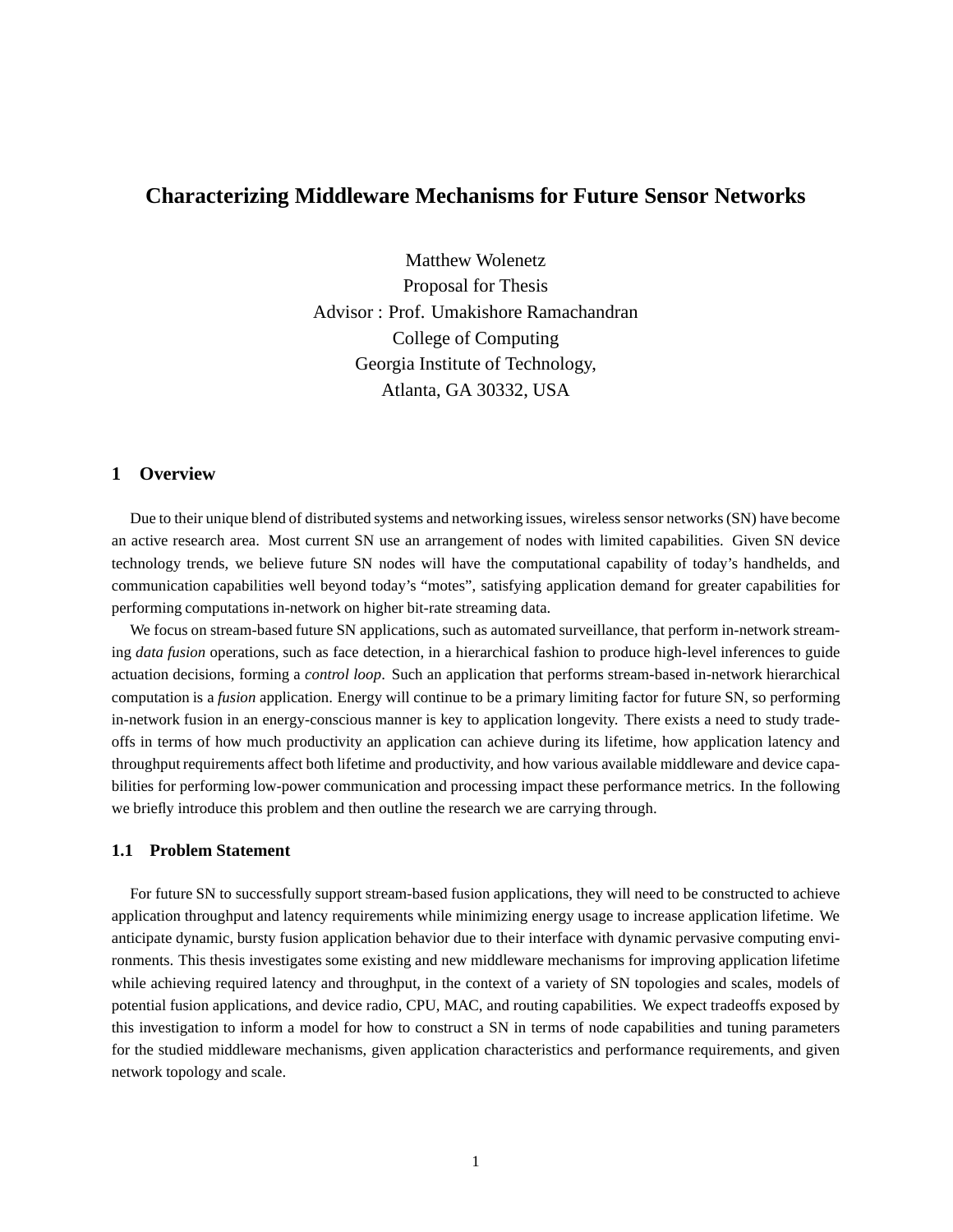# **Characterizing Middleware Mechanisms for Future Sensor Networks**

Matthew Wolenetz Proposal for Thesis Advisor : Prof. Umakishore Ramachandran College of Computing Georgia Institute of Technology, Atlanta, GA 30332, USA

# **1 Overview**

Due to their unique blend of distributed systems and networking issues, wireless sensor networks (SN) have become an active research area. Most current SN use an arrangement of nodes with limited capabilities. Given SN device technology trends, we believe future SN nodes will have the computational capability of today's handhelds, and communication capabilities well beyond today's "motes", satisfying application demand for greater capabilities for performing computations in-network on higher bit-rate streaming data.

We focus on stream-based future SN applications, such as automated surveillance, that perform in-network streaming *data fusion* operations, such as face detection, in a hierarchical fashion to produce high-level inferences to guide actuation decisions, forming a *control loop*. Such an application that performs stream-based in-network hierarchical computation is a *fusion* application. Energy will continue to be a primary limiting factor for future SN, so performing in-network fusion in an energy-conscious manner is key to application longevity. There exists a need to study tradeoffs in terms of how much productivity an application can achieve during its lifetime, how application latency and throughput requirements affect both lifetime and productivity, and how various available middleware and device capabilities for performing low-power communication and processing impact these performance metrics. In the following we briefly introduce this problem and then outline the research we are carrying through.

## **1.1 Problem Statement**

For future SN to successfully support stream-based fusion applications, they will need to be constructed to achieve application throughput and latency requirements while minimizing energy usage to increase application lifetime. We anticipate dynamic, bursty fusion application behavior due to their interface with dynamic pervasive computing environments. This thesis investigates some existing and new middleware mechanisms for improving application lifetime while achieving required latency and throughput, in the context of a variety of SN topologies and scales, models of potential fusion applications, and device radio, CPU, MAC, and routing capabilities. We expect tradeoffs exposed by this investigation to inform a model for how to construct a SN in terms of node capabilities and tuning parameters for the studied middleware mechanisms, given application characteristics and performance requirements, and given network topology and scale.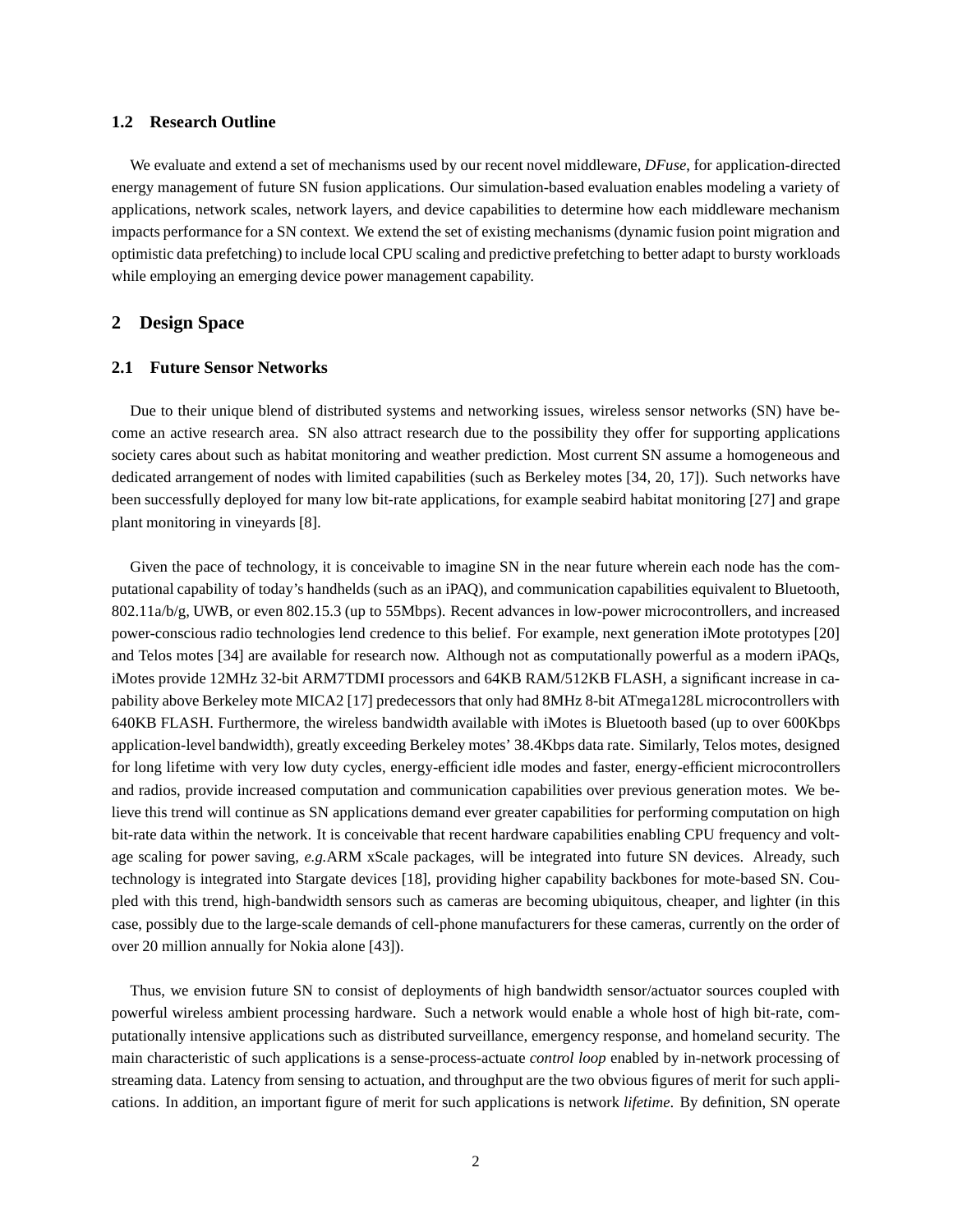## **1.2 Research Outline**

We evaluate and extend a set of mechanisms used by our recent novel middleware, *DFuse*, for application-directed energy management of future SN fusion applications. Our simulation-based evaluation enables modeling a variety of applications, network scales, network layers, and device capabilities to determine how each middleware mechanism impacts performance for a SN context. We extend the set of existing mechanisms (dynamic fusion point migration and optimistic data prefetching) to include local CPU scaling and predictive prefetching to better adapt to bursty workloads while employing an emerging device power management capability.

## **2 Design Space**

## **2.1 Future Sensor Networks**

Due to their unique blend of distributed systems and networking issues, wireless sensor networks (SN) have become an active research area. SN also attract research due to the possibility they offer for supporting applications society cares about such as habitat monitoring and weather prediction. Most current SN assume a homogeneous and dedicated arrangement of nodes with limited capabilities (such as Berkeley motes [34, 20, 17]). Such networks have been successfully deployed for many low bit-rate applications, for example seabird habitat monitoring [27] and grape plant monitoring in vineyards [8].

Given the pace of technology, it is conceivable to imagine SN in the near future wherein each node has the computational capability of today's handhelds (such as an iPAQ), and communication capabilities equivalent to Bluetooth, 802.11a/b/g, UWB, or even 802.15.3 (up to 55Mbps). Recent advances in low-power microcontrollers, and increased power-conscious radio technologies lend credence to this belief. For example, next generation iMote prototypes [20] and Telos motes [34] are available for research now. Although not as computationally powerful as a modern iPAQs, iMotes provide 12MHz 32-bit ARM7TDMI processors and 64KB RAM/512KB FLASH, a significant increase in capability above Berkeley mote MICA2 [17] predecessors that only had 8MHz 8-bit ATmega128L microcontrollers with 640KB FLASH. Furthermore, the wireless bandwidth available with iMotes is Bluetooth based (up to over 600Kbps application-level bandwidth), greatly exceeding Berkeley motes' 38.4Kbps data rate. Similarly, Telos motes, designed for long lifetime with very low duty cycles, energy-efficient idle modes and faster, energy-efficient microcontrollers and radios, provide increased computation and communication capabilities over previous generation motes. We believe this trend will continue as SN applications demand ever greater capabilities for performing computation on high bit-rate data within the network. It is conceivable that recent hardware capabilities enabling CPU frequency and voltage scaling for power saving, *e.g.*ARM xScale packages, will be integrated into future SN devices. Already, such technology is integrated into Stargate devices [18], providing higher capability backbones for mote-based SN. Coupled with this trend, high-bandwidth sensors such as cameras are becoming ubiquitous, cheaper, and lighter (in this case, possibly due to the large-scale demands of cell-phone manufacturers for these cameras, currently on the order of over 20 million annually for Nokia alone [43]).

Thus, we envision future SN to consist of deployments of high bandwidth sensor/actuator sources coupled with powerful wireless ambient processing hardware. Such a network would enable a whole host of high bit-rate, computationally intensive applications such as distributed surveillance, emergency response, and homeland security. The main characteristic of such applications is a sense-process-actuate *control loop* enabled by in-network processing of streaming data. Latency from sensing to actuation, and throughput are the two obvious figures of merit for such applications. In addition, an important figure of merit for such applications is network *lifetime*. By definition, SN operate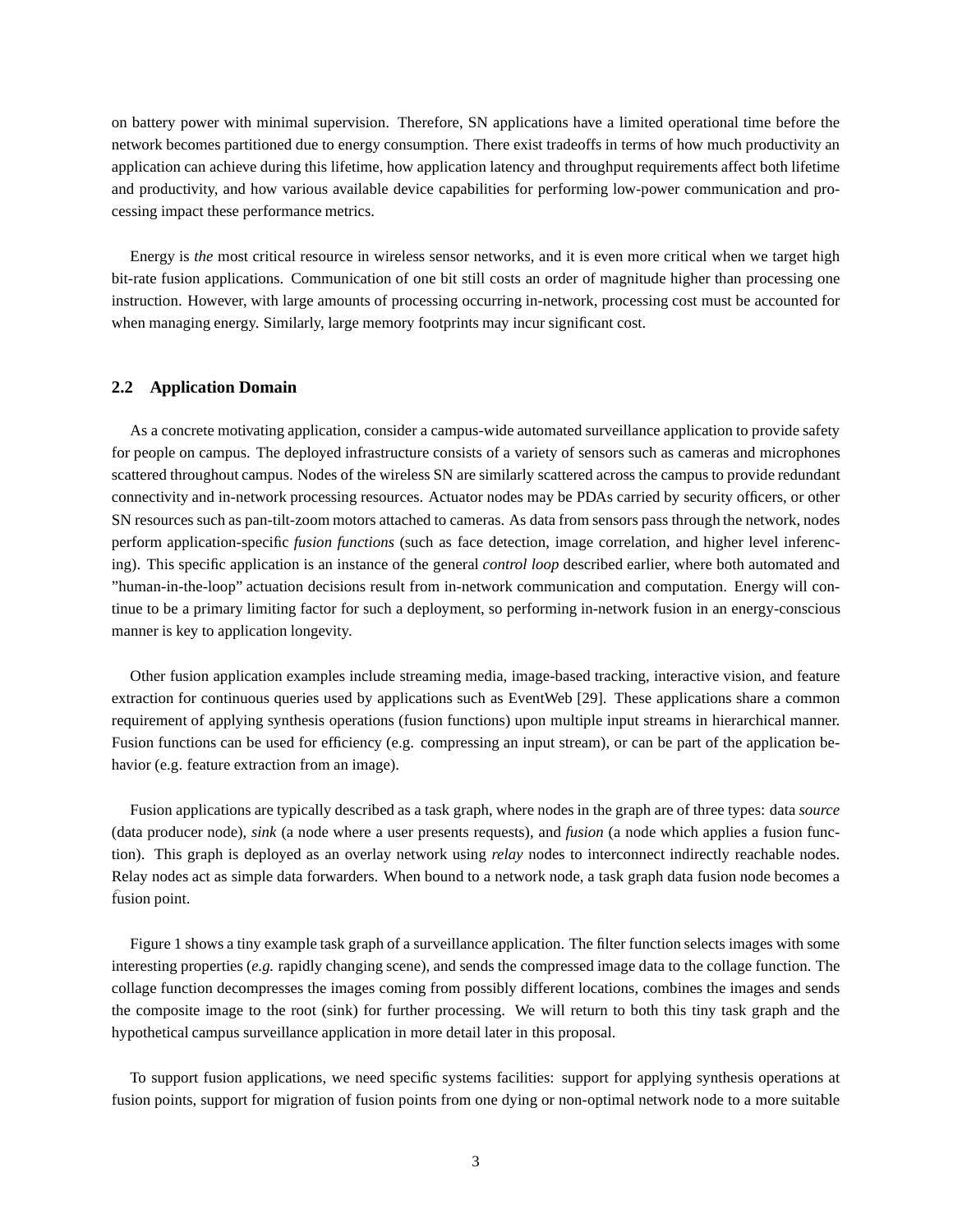on battery power with minimal supervision. Therefore, SN applications have a limited operational time before the network becomes partitioned due to energy consumption. There exist tradeoffs in terms of how much productivity an application can achieve during this lifetime, how application latency and throughput requirements affect both lifetime and productivity, and how various available device capabilities for performing low-power communication and processing impact these performance metrics.

Energy is *the* most critical resource in wireless sensor networks, and it is even more critical when we target high bit-rate fusion applications. Communication of one bit still costs an order of magnitude higher than processing one instruction. However, with large amounts of processing occurring in-network, processing cost must be accounted for when managing energy. Similarly, large memory footprints may incur significant cost.

## **2.2 Application Domain**

As a concrete motivating application, consider a campus-wide automated surveillance application to provide safety for people on campus. The deployed infrastructure consists of a variety of sensors such as cameras and microphones scattered throughout campus. Nodes of the wireless SN are similarly scattered across the campus to provide redundant connectivity and in-network processing resources. Actuator nodes may be PDAs carried by security officers, or other SN resources such as pan-tilt-zoom motors attached to cameras. As data from sensors pass through the network, nodes perform application-specific *fusion functions* (such as face detection, image correlation, and higher level inferencing). This specific application is an instance of the general *control loop* described earlier, where both automated and "human-in-the-loop" actuation decisions result from in-network communication and computation. Energy will continue to be a primary limiting factor for such a deployment, so performing in-network fusion in an energy-conscious manner is key to application longevity.

Other fusion application examples include streaming media, image-based tracking, interactive vision, and feature extraction for continuous queries used by applications such as EventWeb [29]. These applications share a common requirement of applying synthesis operations (fusion functions) upon multiple input streams in hierarchical manner. Fusion functions can be used for efficiency (e.g. compressing an input stream), or can be part of the application behavior (e.g. feature extraction from an image).

Fusion applications are typically described as a task graph, where nodes in the graph are of three types: data *source* (data producer node), *sink* (a node where a user presents requests), and *fusion* (a node which applies a fusion function). This graph is deployed as an overlay network using *relay* nodes to interconnect indirectly reachable nodes. Relay nodes act as simple data forwarders. When bound to a network node, a task graph data fusion node becomes a fusion point.

Figure 1 shows a tiny example task graph of a surveillance application. The filter function selects images with some interesting properties (*e.g.* rapidly changing scene), and sends the compressed image data to the collage function. The collage function decompresses the images coming from possibly different locations, combines the images and sends the composite image to the root (sink) for further processing. We will return to both this tiny task graph and the hypothetical campus surveillance application in more detail later in this proposal.

To support fusion applications, we need specific systems facilities: support for applying synthesis operations at fusion points, support for migration of fusion points from one dying or non-optimal network node to a more suitable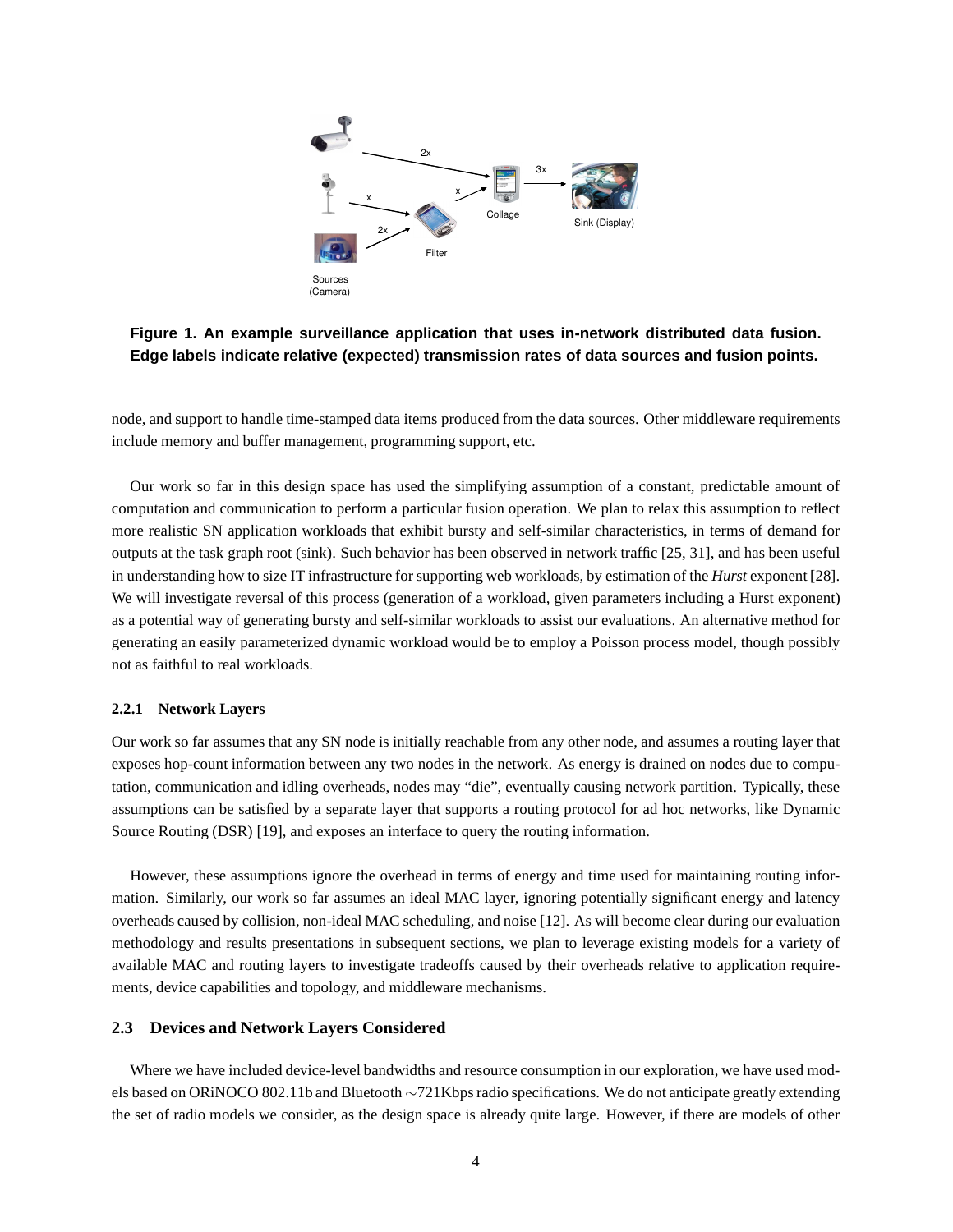

**Figure 1. An example surveillance application that uses in-network distributed data fusion. Edge labels indicate relative (expected) transmission rates of data sources and fusion points.**

node, and support to handle time-stamped data items produced from the data sources. Other middleware requirements include memory and buffer management, programming support, etc.

Our work so far in this design space has used the simplifying assumption of a constant, predictable amount of computation and communication to perform a particular fusion operation. We plan to relax this assumption to reflect more realistic SN application workloads that exhibit bursty and self-similar characteristics, in terms of demand for outputs at the task graph root (sink). Such behavior has been observed in network traffic [25, 31], and has been useful in understanding how to size IT infrastructure for supporting web workloads, by estimation of the *Hurst* exponent [28]. We will investigate reversal of this process (generation of a workload, given parameters including a Hurst exponent) as a potential way of generating bursty and self-similar workloads to assist our evaluations. An alternative method for generating an easily parameterized dynamic workload would be to employ a Poisson process model, though possibly not as faithful to real workloads.

#### **2.2.1 Network Layers**

Our work so far assumes that any SN node is initially reachable from any other node, and assumes a routing layer that exposes hop-count information between any two nodes in the network. As energy is drained on nodes due to computation, communication and idling overheads, nodes may "die", eventually causing network partition. Typically, these assumptions can be satisfied by a separate layer that supports a routing protocol for ad hoc networks, like Dynamic Source Routing (DSR) [19], and exposes an interface to query the routing information.

However, these assumptions ignore the overhead in terms of energy and time used for maintaining routing information. Similarly, our work so far assumes an ideal MAC layer, ignoring potentially significant energy and latency overheads caused by collision, non-ideal MAC scheduling, and noise [12]. As will become clear during our evaluation methodology and results presentations in subsequent sections, we plan to leverage existing models for a variety of available MAC and routing layers to investigate tradeoffs caused by their overheads relative to application requirements, device capabilities and topology, and middleware mechanisms.

## **2.3 Devices and Network Layers Considered**

Where we have included device-level bandwidths and resource consumption in our exploration, we have used models based on ORiNOCO 802.11b and Bluetooth ∼721Kbps radio specifications. We do not anticipate greatly extending the set of radio models we consider, as the design space is already quite large. However, if there are models of other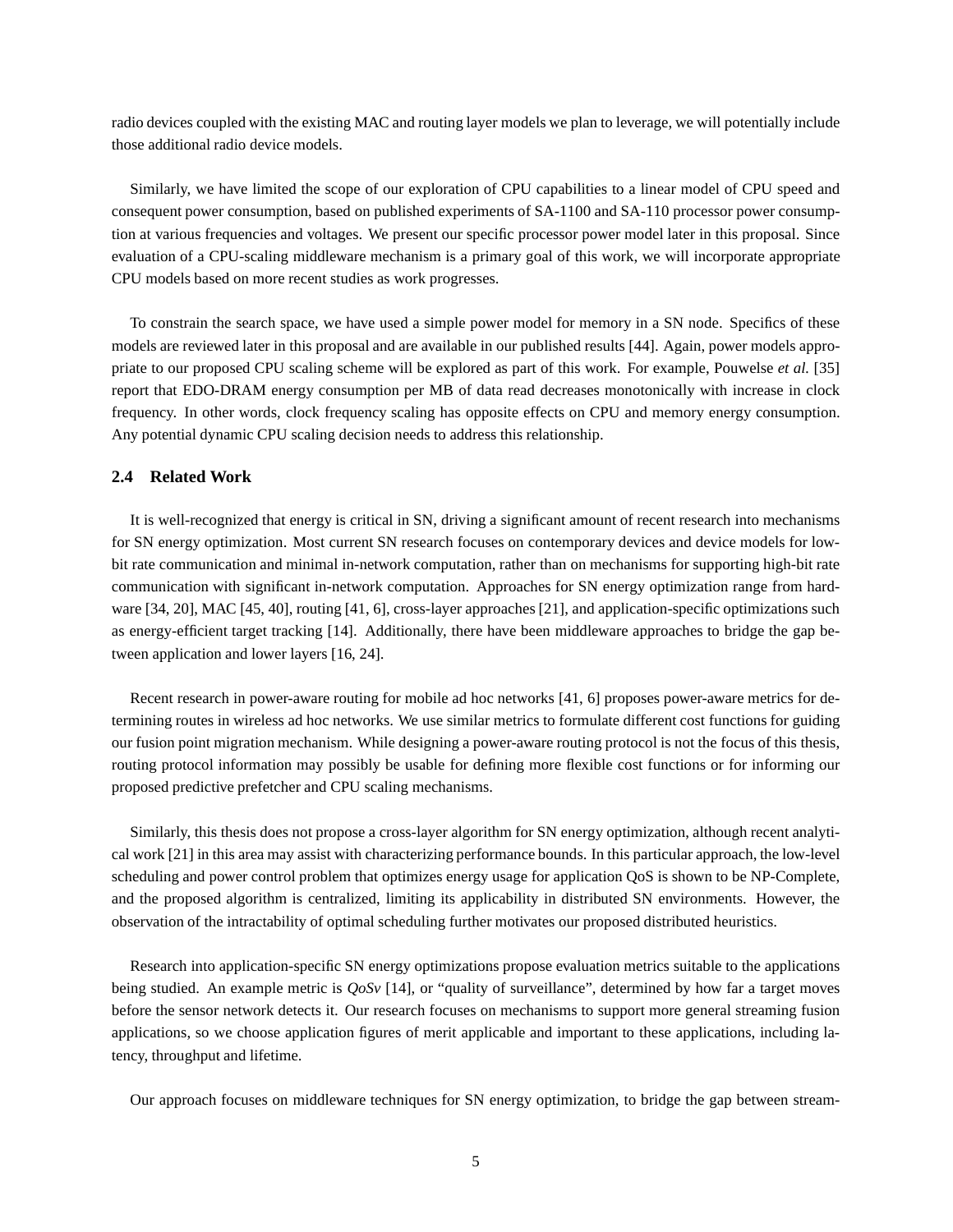radio devices coupled with the existing MAC and routing layer models we plan to leverage, we will potentially include those additional radio device models.

Similarly, we have limited the scope of our exploration of CPU capabilities to a linear model of CPU speed and consequent power consumption, based on published experiments of SA-1100 and SA-110 processor power consumption at various frequencies and voltages. We present our specific processor power model later in this proposal. Since evaluation of a CPU-scaling middleware mechanism is a primary goal of this work, we will incorporate appropriate CPU models based on more recent studies as work progresses.

To constrain the search space, we have used a simple power model for memory in a SN node. Specifics of these models are reviewed later in this proposal and are available in our published results [44]. Again, power models appropriate to our proposed CPU scaling scheme will be explored as part of this work. For example, Pouwelse *et al.* [35] report that EDO-DRAM energy consumption per MB of data read decreases monotonically with increase in clock frequency. In other words, clock frequency scaling has opposite effects on CPU and memory energy consumption. Any potential dynamic CPU scaling decision needs to address this relationship.

#### **2.4 Related Work**

It is well-recognized that energy is critical in SN, driving a significant amount of recent research into mechanisms for SN energy optimization. Most current SN research focuses on contemporary devices and device models for lowbit rate communication and minimal in-network computation, rather than on mechanisms for supporting high-bit rate communication with significant in-network computation. Approaches for SN energy optimization range from hardware [34, 20], MAC [45, 40], routing [41, 6], cross-layer approaches [21], and application-specific optimizations such as energy-efficient target tracking [14]. Additionally, there have been middleware approaches to bridge the gap between application and lower layers [16, 24].

Recent research in power-aware routing for mobile ad hoc networks [41, 6] proposes power-aware metrics for determining routes in wireless ad hoc networks. We use similar metrics to formulate different cost functions for guiding our fusion point migration mechanism. While designing a power-aware routing protocol is not the focus of this thesis, routing protocol information may possibly be usable for defining more flexible cost functions or for informing our proposed predictive prefetcher and CPU scaling mechanisms.

Similarly, this thesis does not propose a cross-layer algorithm for SN energy optimization, although recent analytical work [21] in this area may assist with characterizing performance bounds. In this particular approach, the low-level scheduling and power control problem that optimizes energy usage for application QoS is shown to be NP-Complete, and the proposed algorithm is centralized, limiting its applicability in distributed SN environments. However, the observation of the intractability of optimal scheduling further motivates our proposed distributed heuristics.

Research into application-specific SN energy optimizations propose evaluation metrics suitable to the applications being studied. An example metric is *QoSv* [14], or "quality of surveillance", determined by how far a target moves before the sensor network detects it. Our research focuses on mechanisms to support more general streaming fusion applications, so we choose application figures of merit applicable and important to these applications, including latency, throughput and lifetime.

Our approach focuses on middleware techniques for SN energy optimization, to bridge the gap between stream-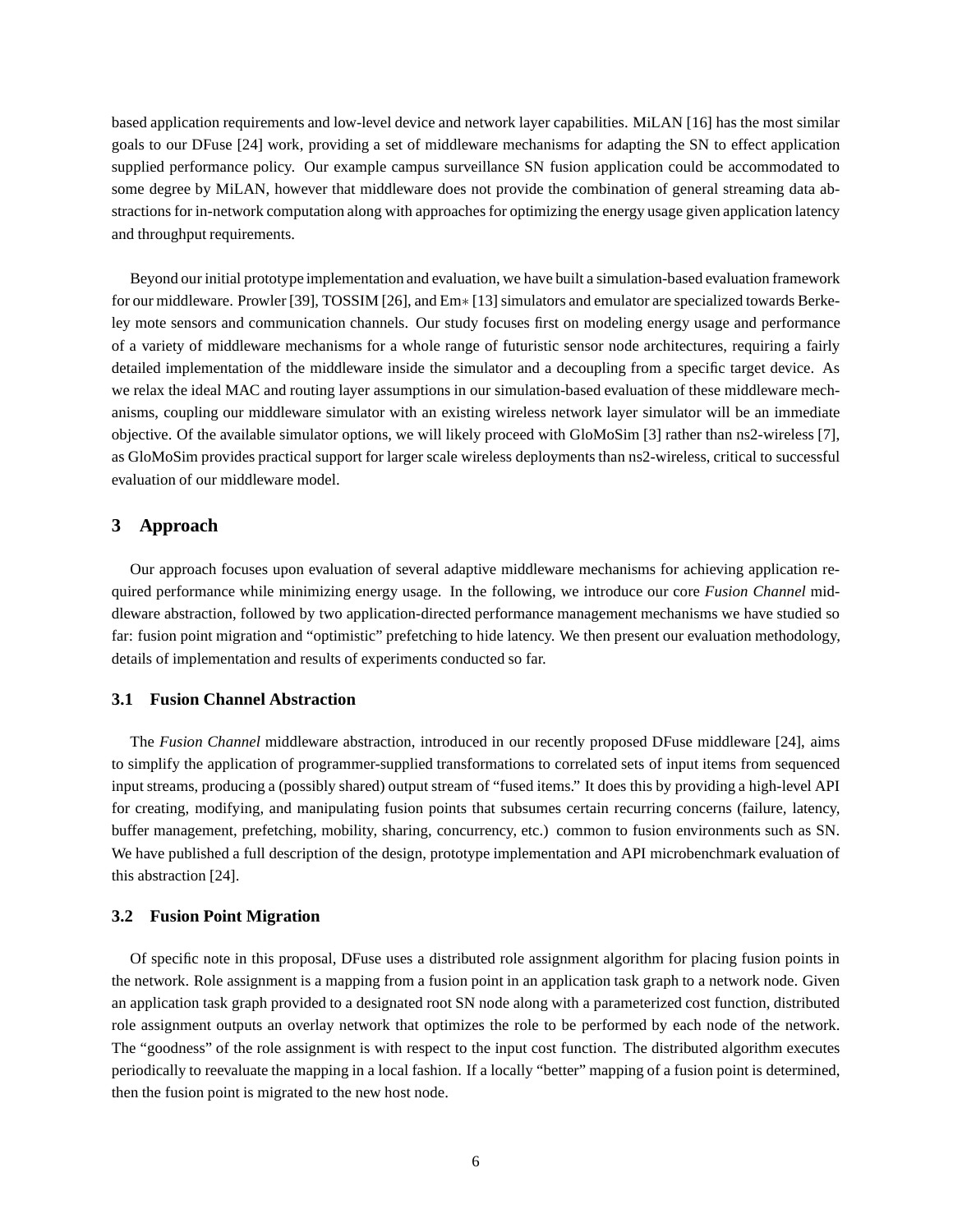based application requirements and low-level device and network layer capabilities. MiLAN [16] has the most similar goals to our DFuse [24] work, providing a set of middleware mechanisms for adapting the SN to effect application supplied performance policy. Our example campus surveillance SN fusion application could be accommodated to some degree by MiLAN, however that middleware does not provide the combination of general streaming data abstractions for in-network computation along with approaches for optimizing the energy usage given application latency and throughput requirements.

Beyond our initial prototype implementation and evaluation, we have built a simulation-based evaluation framework for our middleware. Prowler [39], TOSSIM [26], and Em∗ [13] simulators and emulator are specialized towards Berkeley mote sensors and communication channels. Our study focuses first on modeling energy usage and performance of a variety of middleware mechanisms for a whole range of futuristic sensor node architectures, requiring a fairly detailed implementation of the middleware inside the simulator and a decoupling from a specific target device. As we relax the ideal MAC and routing layer assumptions in our simulation-based evaluation of these middleware mechanisms, coupling our middleware simulator with an existing wireless network layer simulator will be an immediate objective. Of the available simulator options, we will likely proceed with GloMoSim [3] rather than ns2-wireless [7], as GloMoSim provides practical support for larger scale wireless deployments than ns2-wireless, critical to successful evaluation of our middleware model.

## **3 Approach**

Our approach focuses upon evaluation of several adaptive middleware mechanisms for achieving application required performance while minimizing energy usage. In the following, we introduce our core *Fusion Channel* middleware abstraction, followed by two application-directed performance management mechanisms we have studied so far: fusion point migration and "optimistic" prefetching to hide latency. We then present our evaluation methodology, details of implementation and results of experiments conducted so far.

## **3.1 Fusion Channel Abstraction**

The *Fusion Channel* middleware abstraction, introduced in our recently proposed DFuse middleware [24], aims to simplify the application of programmer-supplied transformations to correlated sets of input items from sequenced input streams, producing a (possibly shared) output stream of "fused items." It does this by providing a high-level API for creating, modifying, and manipulating fusion points that subsumes certain recurring concerns (failure, latency, buffer management, prefetching, mobility, sharing, concurrency, etc.) common to fusion environments such as SN. We have published a full description of the design, prototype implementation and API microbenchmark evaluation of this abstraction [24].

## **3.2 Fusion Point Migration**

Of specific note in this proposal, DFuse uses a distributed role assignment algorithm for placing fusion points in the network. Role assignment is a mapping from a fusion point in an application task graph to a network node. Given an application task graph provided to a designated root SN node along with a parameterized cost function, distributed role assignment outputs an overlay network that optimizes the role to be performed by each node of the network. The "goodness" of the role assignment is with respect to the input cost function. The distributed algorithm executes periodically to reevaluate the mapping in a local fashion. If a locally "better" mapping of a fusion point is determined, then the fusion point is migrated to the new host node.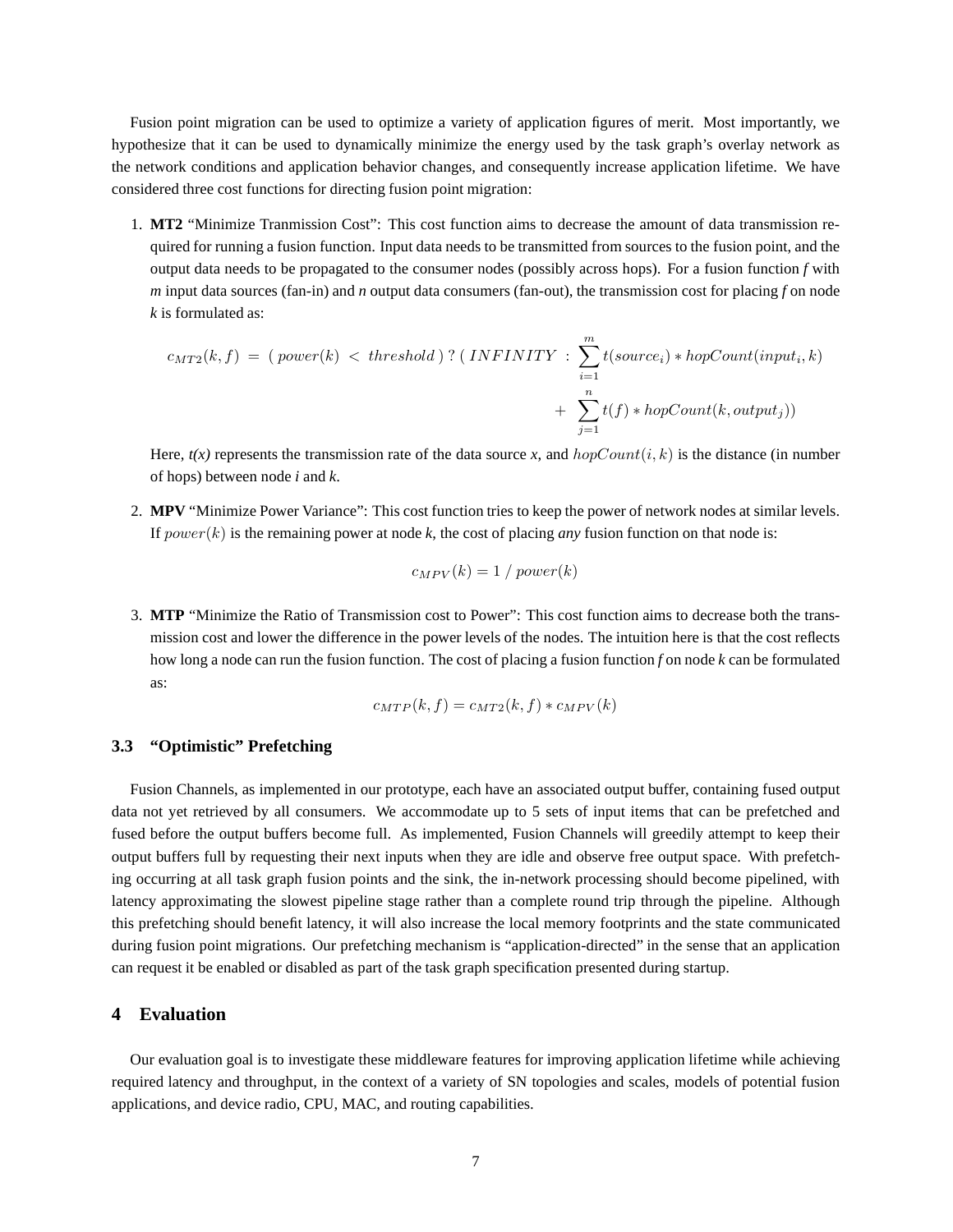Fusion point migration can be used to optimize a variety of application figures of merit. Most importantly, we hypothesize that it can be used to dynamically minimize the energy used by the task graph's overlay network as the network conditions and application behavior changes, and consequently increase application lifetime. We have considered three cost functions for directing fusion point migration:

1. **MT2** "Minimize Tranmission Cost": This cost function aims to decrease the amount of data transmission required for running a fusion function. Input data needs to be transmitted from sources to the fusion point, and the output data needs to be propagated to the consumer nodes (possibly across hops). For a fusion function *f* with *m* input data sources (fan-in) and *n* output data consumers (fan-out), the transmission cost for placing *f* on node *k* is formulated as:

$$
c_{MT2}(k,f) = (\text{power}(k) < threshold) ? (\text{INFINITY}: \sum_{i=1}^{m} t(\text{source}_i) * \text{hopCount}(input_i, k) + \sum_{j=1}^{n} t(f) * \text{hopCount}(k, output_j))
$$

Here,  $t(x)$  represents the transmission rate of the data source x, and  $hopCount(i, k)$  is the distance (in number of hops) between node *i* and *k*.

2. **MPV** "Minimize Power Variance": This cost function tries to keep the power of network nodes at similar levels. If  $power(k)$  is the remaining power at node k, the cost of placing *any* fusion function on that node is:

$$
c_{MPV}(k) = 1 / power(k)
$$

3. **MTP** "Minimize the Ratio of Transmission cost to Power": This cost function aims to decrease both the transmission cost and lower the difference in the power levels of the nodes. The intuition here is that the cost reflects how long a node can run the fusion function. The cost of placing a fusion function *f* on node *k* can be formulated as:

$$
c_{MTP}(k, f) = c_{MTP}(k, f) * c_{MPV}(k)
$$

## **3.3 "Optimistic" Prefetching**

Fusion Channels, as implemented in our prototype, each have an associated output buffer, containing fused output data not yet retrieved by all consumers. We accommodate up to 5 sets of input items that can be prefetched and fused before the output buffers become full. As implemented, Fusion Channels will greedily attempt to keep their output buffers full by requesting their next inputs when they are idle and observe free output space. With prefetching occurring at all task graph fusion points and the sink, the in-network processing should become pipelined, with latency approximating the slowest pipeline stage rather than a complete round trip through the pipeline. Although this prefetching should benefit latency, it will also increase the local memory footprints and the state communicated during fusion point migrations. Our prefetching mechanism is "application-directed" in the sense that an application can request it be enabled or disabled as part of the task graph specification presented during startup.

### **4 Evaluation**

Our evaluation goal is to investigate these middleware features for improving application lifetime while achieving required latency and throughput, in the context of a variety of SN topologies and scales, models of potential fusion applications, and device radio, CPU, MAC, and routing capabilities.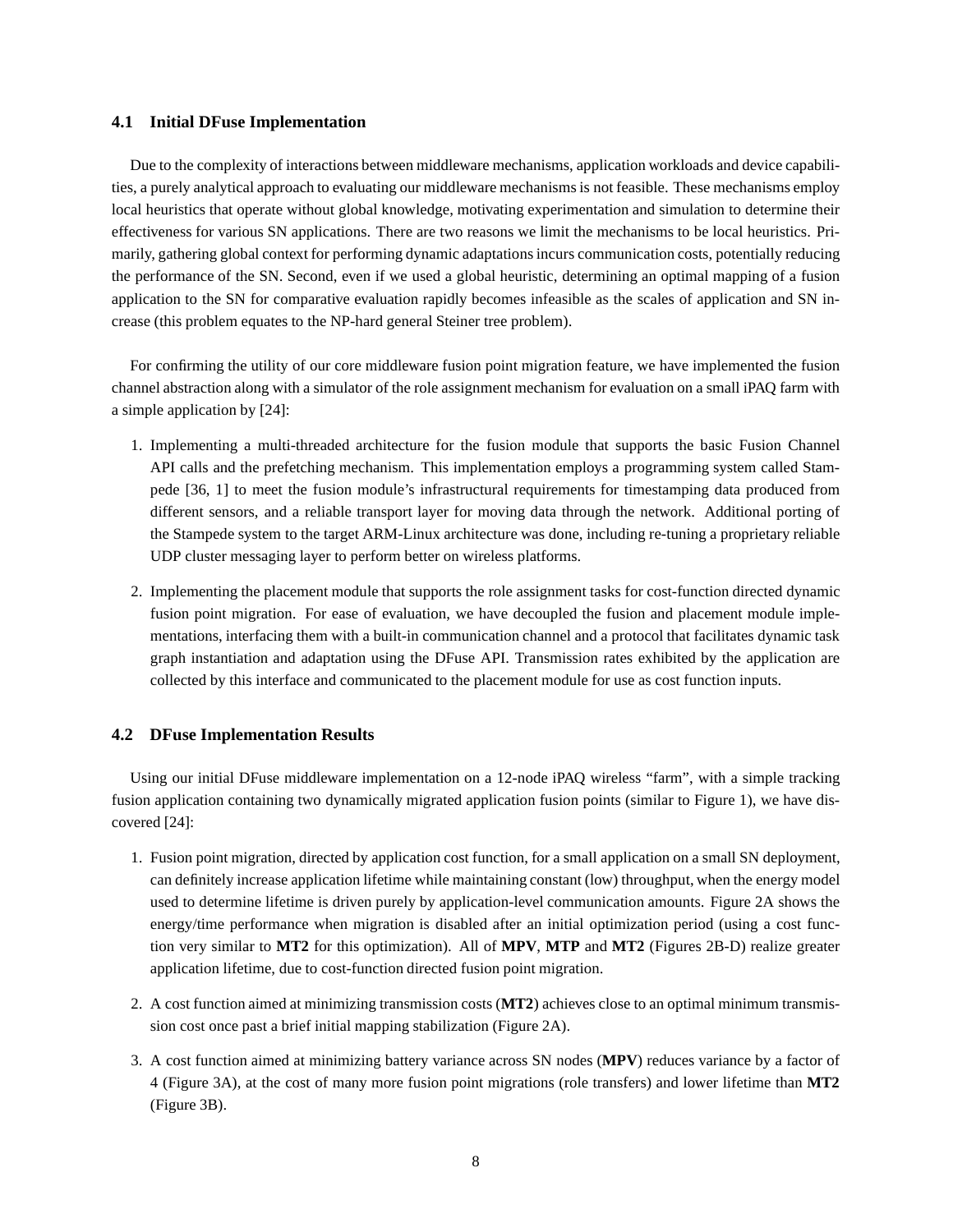## **4.1 Initial DFuse Implementation**

Due to the complexity of interactions between middleware mechanisms, application workloads and device capabilities, a purely analytical approach to evaluating our middleware mechanisms is not feasible. These mechanisms employ local heuristics that operate without global knowledge, motivating experimentation and simulation to determine their effectiveness for various SN applications. There are two reasons we limit the mechanisms to be local heuristics. Primarily, gathering global context for performing dynamic adaptations incurs communication costs, potentially reducing the performance of the SN. Second, even if we used a global heuristic, determining an optimal mapping of a fusion application to the SN for comparative evaluation rapidly becomes infeasible as the scales of application and SN increase (this problem equates to the NP-hard general Steiner tree problem).

For confirming the utility of our core middleware fusion point migration feature, we have implemented the fusion channel abstraction along with a simulator of the role assignment mechanism for evaluation on a small iPAQ farm with a simple application by [24]:

- 1. Implementing a multi-threaded architecture for the fusion module that supports the basic Fusion Channel API calls and the prefetching mechanism. This implementation employs a programming system called Stampede [36, 1] to meet the fusion module's infrastructural requirements for timestamping data produced from different sensors, and a reliable transport layer for moving data through the network. Additional porting of the Stampede system to the target ARM-Linux architecture was done, including re-tuning a proprietary reliable UDP cluster messaging layer to perform better on wireless platforms.
- 2. Implementing the placement module that supports the role assignment tasks for cost-function directed dynamic fusion point migration. For ease of evaluation, we have decoupled the fusion and placement module implementations, interfacing them with a built-in communication channel and a protocol that facilitates dynamic task graph instantiation and adaptation using the DFuse API. Transmission rates exhibited by the application are collected by this interface and communicated to the placement module for use as cost function inputs.

## **4.2 DFuse Implementation Results**

Using our initial DFuse middleware implementation on a 12-node iPAQ wireless "farm", with a simple tracking fusion application containing two dynamically migrated application fusion points (similar to Figure 1), we have discovered [24]:

- 1. Fusion point migration, directed by application cost function, for a small application on a small SN deployment, can definitely increase application lifetime while maintaining constant (low) throughput, when the energy model used to determine lifetime is driven purely by application-level communication amounts. Figure 2A shows the energy/time performance when migration is disabled after an initial optimization period (using a cost function very similar to **MT2** for this optimization). All of **MPV**, **MTP** and **MT2** (Figures 2B-D) realize greater application lifetime, due to cost-function directed fusion point migration.
- 2. A cost function aimed at minimizing transmission costs (**MT2**) achieves close to an optimal minimum transmission cost once past a brief initial mapping stabilization (Figure 2A).
- 3. A cost function aimed at minimizing battery variance across SN nodes (**MPV**) reduces variance by a factor of 4 (Figure 3A), at the cost of many more fusion point migrations (role transfers) and lower lifetime than **MT2** (Figure 3B).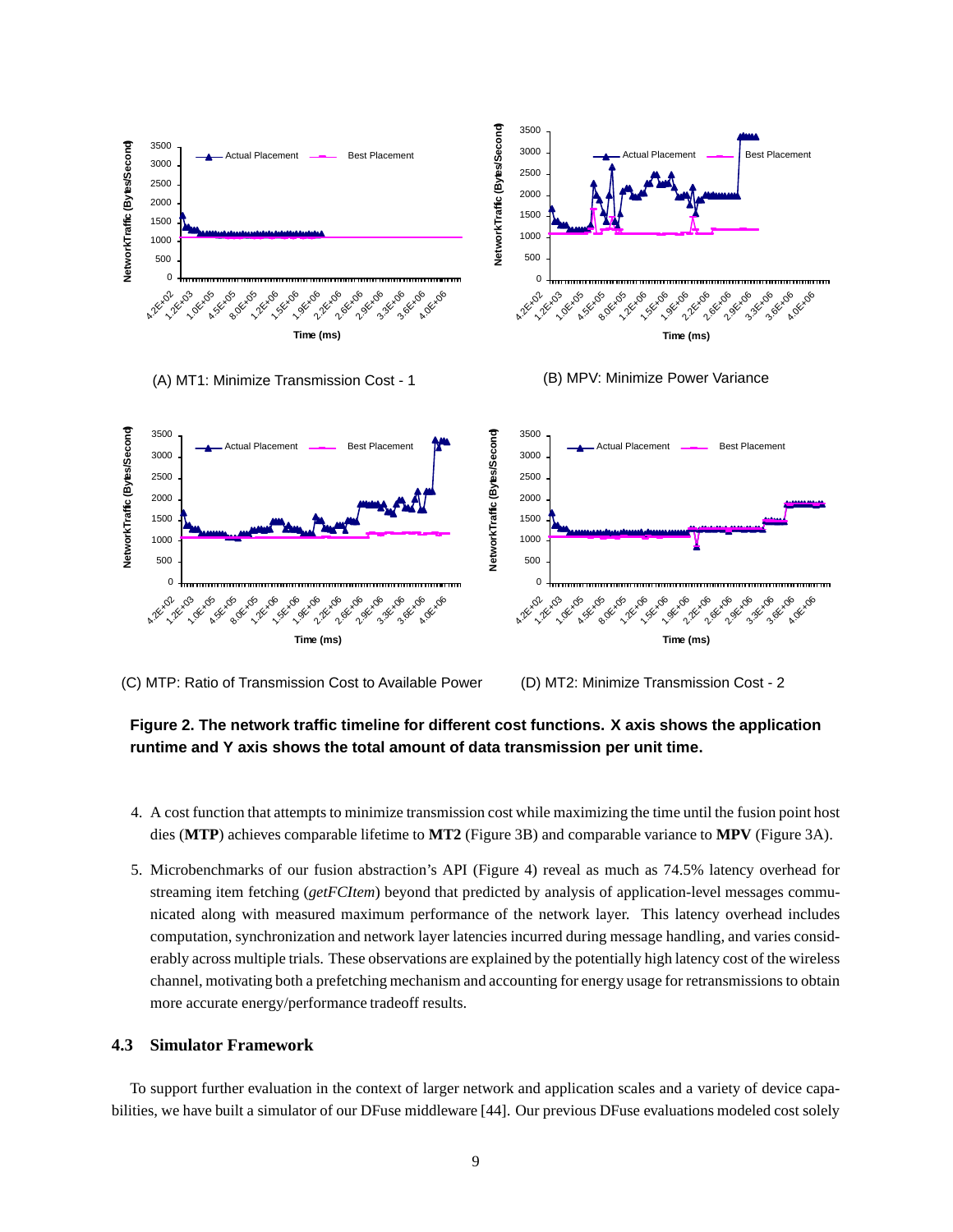





(C) MTP: Ratio of Transmission Cost to Available Power

(D) MT2: Minimize Transmission Cost - 2

# **Figure 2. The network traffic timeline for different cost functions. X axis shows the application runtime and Y axis shows the total amount of data transmission per unit time.**

500

- 4. A cost function that attempts to minimize transmission cost while maximizing the time until the fusion point host dies (**MTP**) achieves comparable lifetime to **MT2** (Figure 3B) and comparable variance to **MPV** (Figure 3A).
- 5. Microbenchmarks of our fusion abstraction's API (Figure 4) reveal as much as 74.5% latency overhead for streaming item fetching (*getFCItem*) beyond that predicted by analysis of application-level messages communicated along with measured maximum performance of the network layer. This latency overhead includes computation, synchronization and network layer latencies incurred during message handling, and varies considerably across multiple trials. These observations are explained by the potentially high latency cost of the wireless channel, motivating both a prefetching mechanism and accounting for energy usage for retransmissions to obtain more accurate energy/performance tradeoff results.

## **4.3 Simulator Framework**

500

To support further evaluation in the context of larger network and application scales and a variety of device capabilities, we have built a simulator of our DFuse middleware [44]. Our previous DFuse evaluations modeled cost solely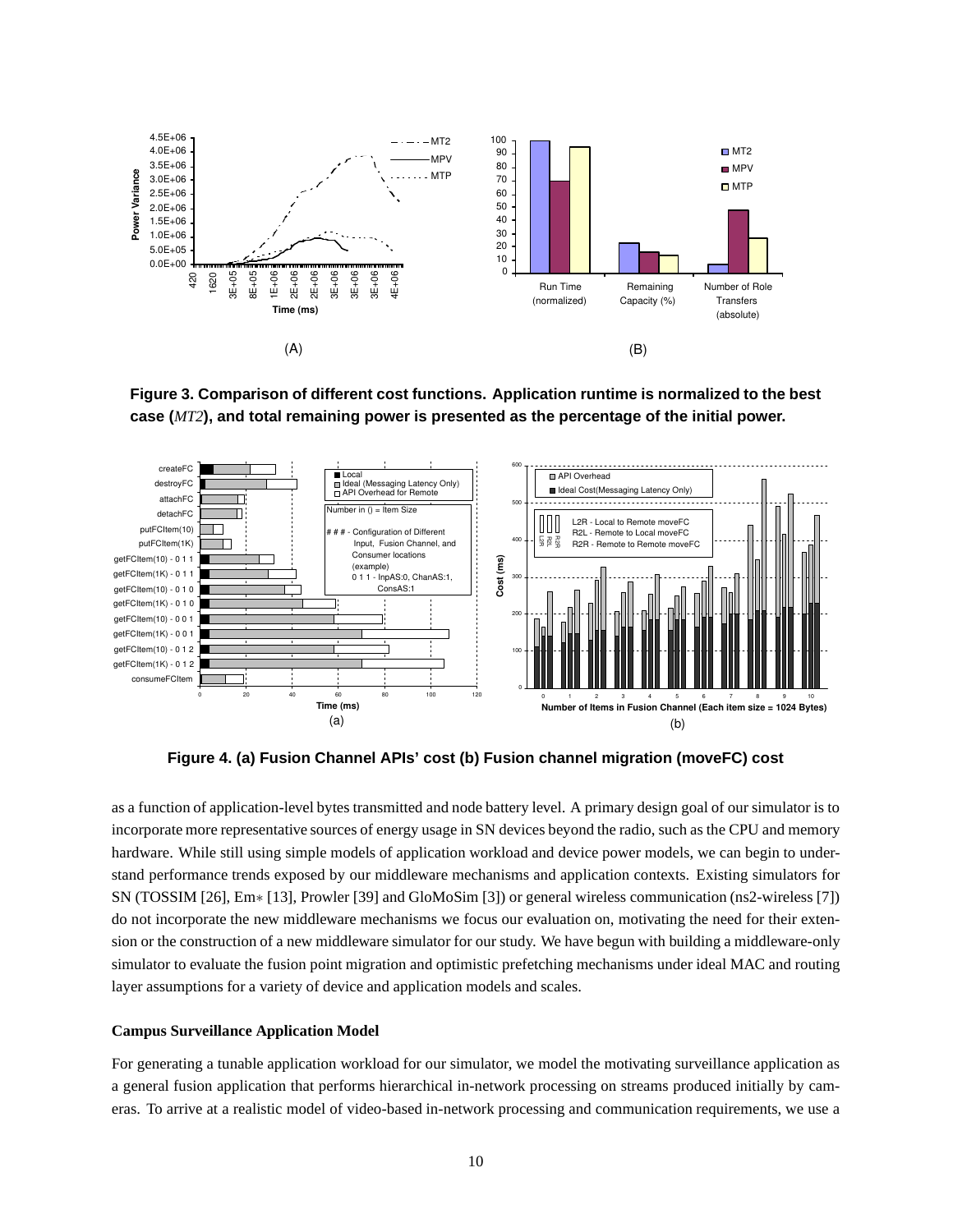

**Figure 3. Comparison of different cost functions. Application runtime is normalized to the best case (***MT2***), and total remaining power is presented as the percentage of the initial power.**



**Figure 4. (a) Fusion Channel APIs' cost (b) Fusion channel migration (moveFC) cost**

as a function of application-level bytes transmitted and node battery level. A primary design goal of our simulator is to incorporate more representative sources of energy usage in SN devices beyond the radio, such as the CPU and memory hardware. While still using simple models of application workload and device power models, we can begin to understand performance trends exposed by our middleware mechanisms and application contexts. Existing simulators for SN (TOSSIM [26], Em∗ [13], Prowler [39] and GloMoSim [3]) or general wireless communication (ns2-wireless [7]) do not incorporate the new middleware mechanisms we focus our evaluation on, motivating the need for their extension or the construction of a new middleware simulator for our study. We have begun with building a middleware-only simulator to evaluate the fusion point migration and optimistic prefetching mechanisms under ideal MAC and routing layer assumptions for a variety of device and application models and scales.

## **Campus Surveillance Application Model**

For generating a tunable application workload for our simulator, we model the motivating surveillance application as a general fusion application that performs hierarchical in-network processing on streams produced initially by cameras. To arrive at a realistic model of video-based in-network processing and communication requirements, we use a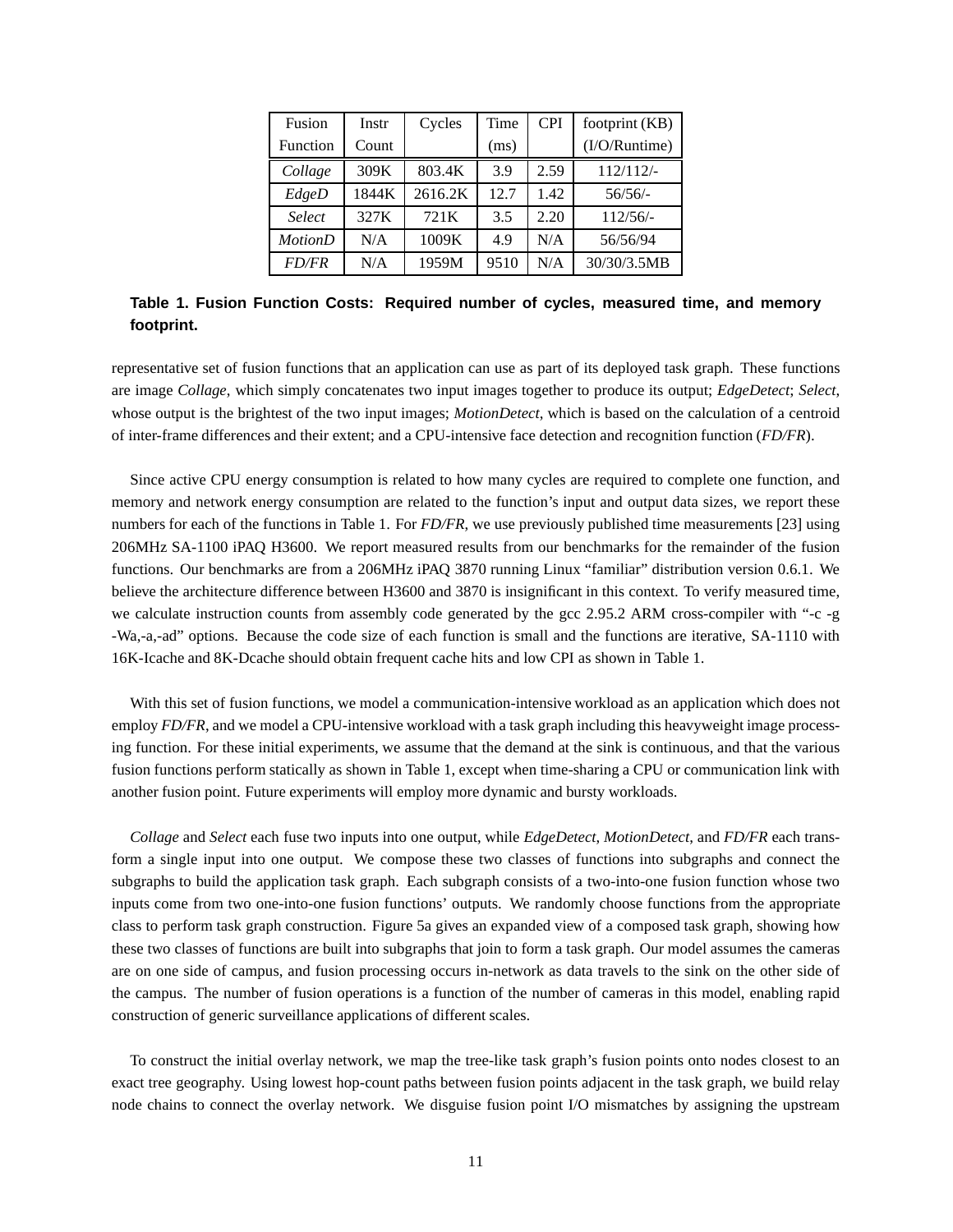| Fusion          | Instr | Cycles  | Time | <b>CPI</b> | footprint (KB)   |
|-----------------|-------|---------|------|------------|------------------|
| <b>Function</b> | Count |         | (ms) |            | $(I/O/R$ untime) |
| Collage         | 309K  | 803.4K  | 3.9  | 2.59       | 112/112/         |
| EdgeD           | 1844K | 2616.2K | 12.7 | 1.42       | 56/56/           |
| <b>Select</b>   | 327K  | 721K    | 3.5  | 2.20       | 112/56/          |
| <b>MotionD</b>  | N/A   | 1009K   | 4.9  | N/A        | 56/56/94         |
| <i>FD/FR</i>    | N/A   | 1959M   | 9510 | N/A        | 30/30/3.5MB      |

**Table 1. Fusion Function Costs: Required number of cycles, measured time, and memory footprint.**

representative set of fusion functions that an application can use as part of its deployed task graph. These functions are image *Collage*, which simply concatenates two input images together to produce its output; *EdgeDetect*; *Select*, whose output is the brightest of the two input images; *MotionDetect*, which is based on the calculation of a centroid of inter-frame differences and their extent; and a CPU-intensive face detection and recognition function (*FD/FR*).

Since active CPU energy consumption is related to how many cycles are required to complete one function, and memory and network energy consumption are related to the function's input and output data sizes, we report these numbers for each of the functions in Table 1. For *FD/FR*, we use previously published time measurements [23] using 206MHz SA-1100 iPAQ H3600. We report measured results from our benchmarks for the remainder of the fusion functions. Our benchmarks are from a 206MHz iPAQ 3870 running Linux "familiar" distribution version 0.6.1. We believe the architecture difference between H3600 and 3870 is insignificant in this context. To verify measured time, we calculate instruction counts from assembly code generated by the gcc 2.95.2 ARM cross-compiler with "-c -g -Wa,-a,-ad" options. Because the code size of each function is small and the functions are iterative, SA-1110 with 16K-Icache and 8K-Dcache should obtain frequent cache hits and low CPI as shown in Table 1.

With this set of fusion functions, we model a communication-intensive workload as an application which does not employ *FD/FR*, and we model a CPU-intensive workload with a task graph including this heavyweight image processing function. For these initial experiments, we assume that the demand at the sink is continuous, and that the various fusion functions perform statically as shown in Table 1, except when time-sharing a CPU or communication link with another fusion point. Future experiments will employ more dynamic and bursty workloads.

*Collage* and *Select* each fuse two inputs into one output, while *EdgeDetect*, *MotionDetect*, and *FD/FR* each transform a single input into one output. We compose these two classes of functions into subgraphs and connect the subgraphs to build the application task graph. Each subgraph consists of a two-into-one fusion function whose two inputs come from two one-into-one fusion functions' outputs. We randomly choose functions from the appropriate class to perform task graph construction. Figure 5a gives an expanded view of a composed task graph, showing how these two classes of functions are built into subgraphs that join to form a task graph. Our model assumes the cameras are on one side of campus, and fusion processing occurs in-network as data travels to the sink on the other side of the campus. The number of fusion operations is a function of the number of cameras in this model, enabling rapid construction of generic surveillance applications of different scales.

To construct the initial overlay network, we map the tree-like task graph's fusion points onto nodes closest to an exact tree geography. Using lowest hop-count paths between fusion points adjacent in the task graph, we build relay node chains to connect the overlay network. We disguise fusion point I/O mismatches by assigning the upstream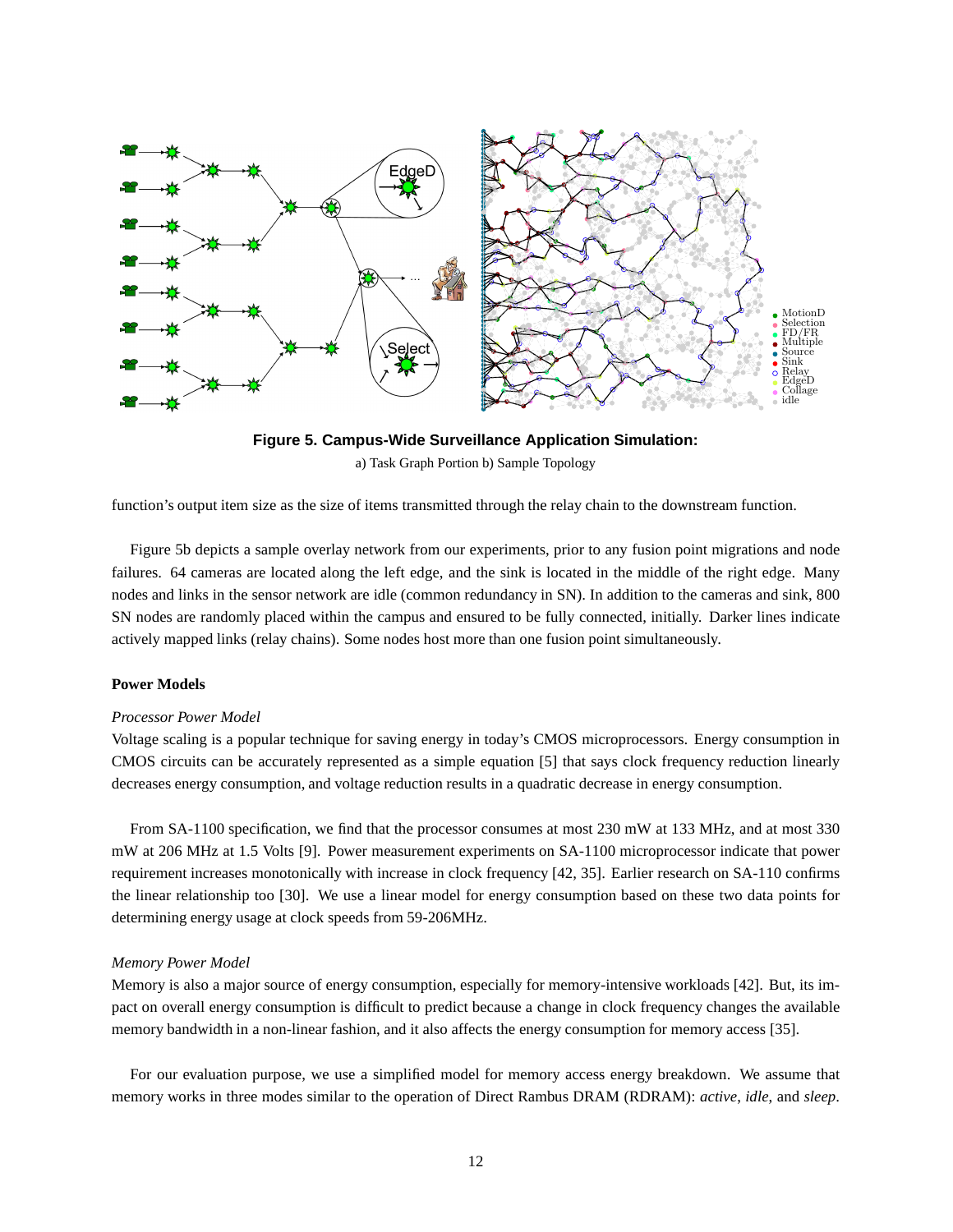



function's output item size as the size of items transmitted through the relay chain to the downstream function.

Figure 5b depicts a sample overlay network from our experiments, prior to any fusion point migrations and node failures. 64 cameras are located along the left edge, and the sink is located in the middle of the right edge. Many nodes and links in the sensor network are idle (common redundancy in SN). In addition to the cameras and sink, 800 SN nodes are randomly placed within the campus and ensured to be fully connected, initially. Darker lines indicate actively mapped links (relay chains). Some nodes host more than one fusion point simultaneously.

## **Power Models**

#### *Processor Power Model*

Voltage scaling is a popular technique for saving energy in today's CMOS microprocessors. Energy consumption in CMOS circuits can be accurately represented as a simple equation [5] that says clock frequency reduction linearly decreases energy consumption, and voltage reduction results in a quadratic decrease in energy consumption.

From SA-1100 specification, we find that the processor consumes at most 230 mW at 133 MHz, and at most 330 mW at 206 MHz at 1.5 Volts [9]. Power measurement experiments on SA-1100 microprocessor indicate that power requirement increases monotonically with increase in clock frequency [42, 35]. Earlier research on SA-110 confirms the linear relationship too [30]. We use a linear model for energy consumption based on these two data points for determining energy usage at clock speeds from 59-206MHz.

#### *Memory Power Model*

Memory is also a major source of energy consumption, especially for memory-intensive workloads [42]. But, its impact on overall energy consumption is difficult to predict because a change in clock frequency changes the available memory bandwidth in a non-linear fashion, and it also affects the energy consumption for memory access [35].

For our evaluation purpose, we use a simplified model for memory access energy breakdown. We assume that memory works in three modes similar to the operation of Direct Rambus DRAM (RDRAM): *active*, *idle*, and *sleep*.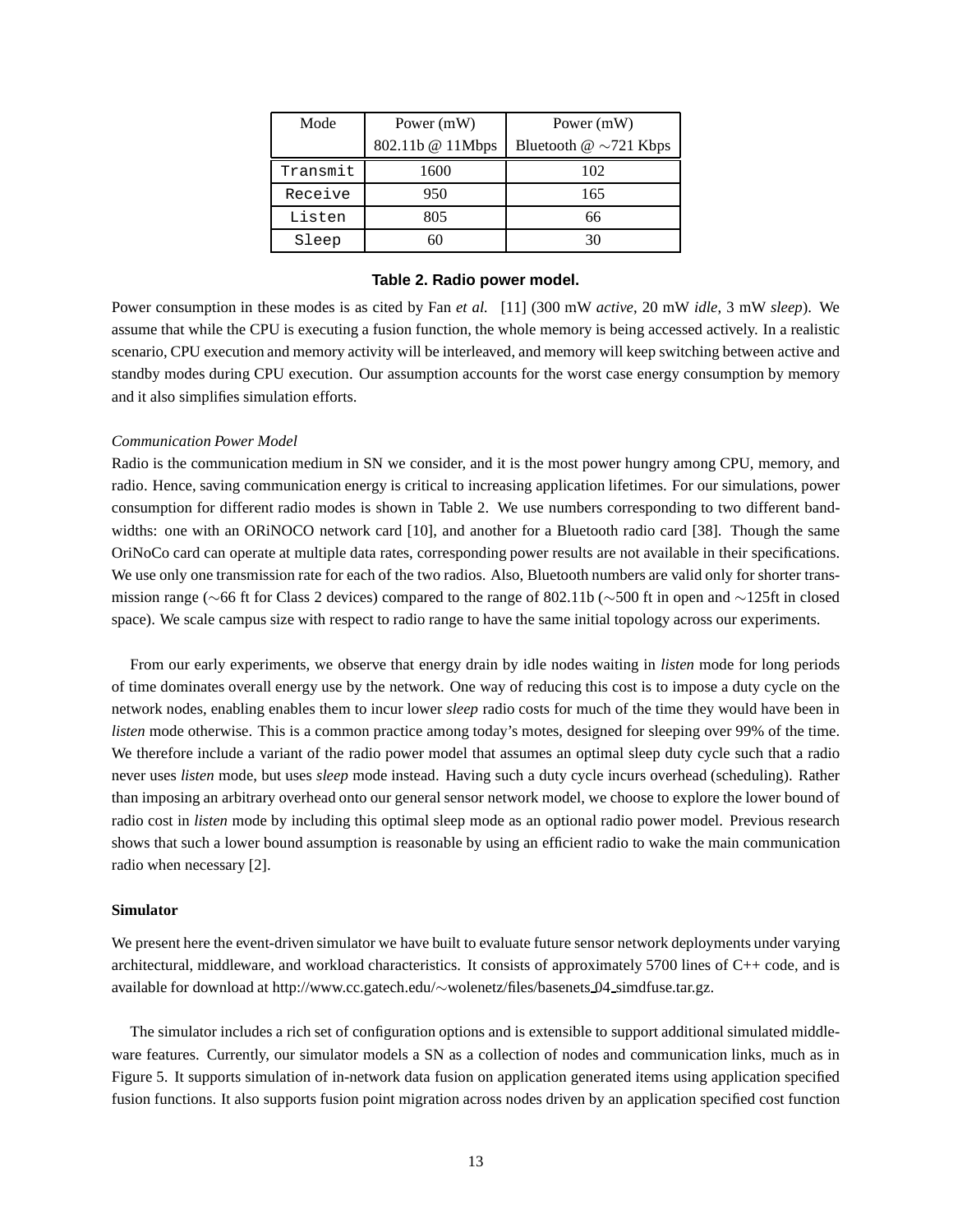| Mode     | Power (mW)       | Power (mW)                       |  |  |
|----------|------------------|----------------------------------|--|--|
|          | 802.11b @ 11Mbps | Bluetooth $\omega \sim 721$ Kbps |  |  |
| Transmit | 1600             | 102                              |  |  |
| Receive  | 950              | 165                              |  |  |
| Listen   | 805              | 66                               |  |  |
| Sleep    | 60               | 30                               |  |  |

#### **Table 2. Radio power model.**

Power consumption in these modes is as cited by Fan *et al.* [11] (300 mW *active*, 20 mW *idle*, 3 mW *sleep*). We assume that while the CPU is executing a fusion function, the whole memory is being accessed actively. In a realistic scenario, CPU execution and memory activity will be interleaved, and memory will keep switching between active and standby modes during CPU execution. Our assumption accounts for the worst case energy consumption by memory and it also simplifies simulation efforts.

#### *Communication Power Model*

Radio is the communication medium in SN we consider, and it is the most power hungry among CPU, memory, and radio. Hence, saving communication energy is critical to increasing application lifetimes. For our simulations, power consumption for different radio modes is shown in Table 2. We use numbers corresponding to two different bandwidths: one with an ORINOCO network card [10], and another for a Bluetooth radio card [38]. Though the same OriNoCo card can operate at multiple data rates, corresponding power results are not available in their specifications. We use only one transmission rate for each of the two radios. Also, Bluetooth numbers are valid only for shorter transmission range (∼66 ft for Class 2 devices) compared to the range of 802.11b (∼500 ft in open and ∼125ft in closed space). We scale campus size with respect to radio range to have the same initial topology across our experiments.

From our early experiments, we observe that energy drain by idle nodes waiting in *listen* mode for long periods of time dominates overall energy use by the network. One way of reducing this cost is to impose a duty cycle on the network nodes, enabling enables them to incur lower *sleep* radio costs for much of the time they would have been in *listen* mode otherwise. This is a common practice among today's motes, designed for sleeping over 99% of the time. We therefore include a variant of the radio power model that assumes an optimal sleep duty cycle such that a radio never uses *listen* mode, but uses *sleep* mode instead. Having such a duty cycle incurs overhead (scheduling). Rather than imposing an arbitrary overhead onto our general sensor network model, we choose to explore the lower bound of radio cost in *listen* mode by including this optimal sleep mode as an optional radio power model. Previous research shows that such a lower bound assumption is reasonable by using an efficient radio to wake the main communication radio when necessary [2].

## **Simulator**

We present here the event-driven simulator we have built to evaluate future sensor network deployments under varying architectural, middleware, and workload characteristics. It consists of approximately 5700 lines of C++ code, and is available for download at http://www.cc.gatech.edu/∼wolenetz/files/basenets 04 simdfuse.tar.gz.

The simulator includes a rich set of configuration options and is extensible to support additional simulated middleware features. Currently, our simulator models a SN as a collection of nodes and communication links, much as in Figure 5. It supports simulation of in-network data fusion on application generated items using application specified fusion functions. It also supports fusion point migration across nodes driven by an application specified cost function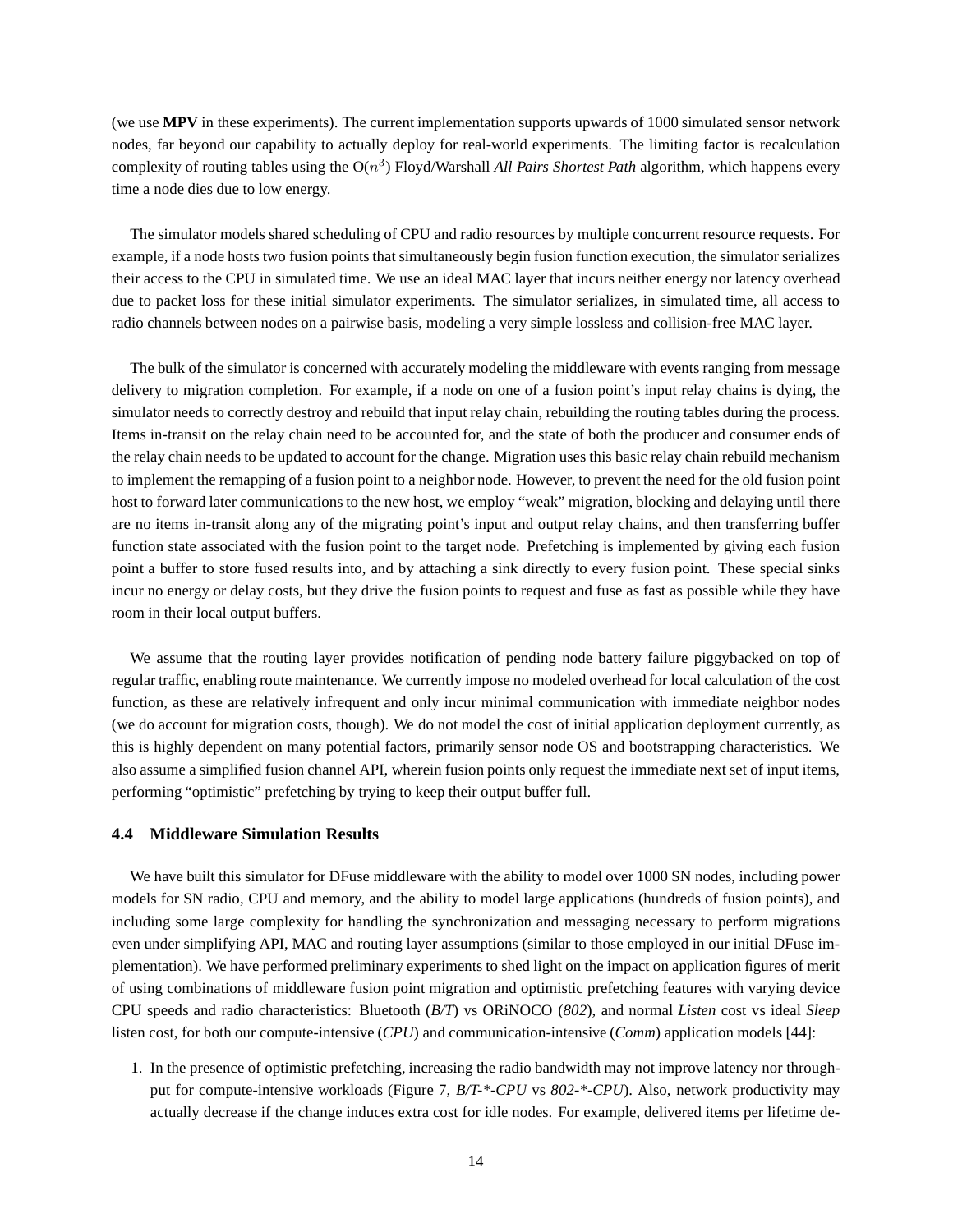(we use **MPV** in these experiments). The current implementation supports upwards of 1000 simulated sensor network nodes, far beyond our capability to actually deploy for real-world experiments. The limiting factor is recalculation complexity of routing tables using the O(n 3 ) Floyd/Warshall *All Pairs Shortest Path* algorithm, which happens every time a node dies due to low energy.

The simulator models shared scheduling of CPU and radio resources by multiple concurrent resource requests. For example, if a node hosts two fusion points that simultaneously begin fusion function execution, the simulator serializes their access to the CPU in simulated time. We use an ideal MAC layer that incurs neither energy nor latency overhead due to packet loss for these initial simulator experiments. The simulator serializes, in simulated time, all access to radio channels between nodes on a pairwise basis, modeling a very simple lossless and collision-free MAC layer.

The bulk of the simulator is concerned with accurately modeling the middleware with events ranging from message delivery to migration completion. For example, if a node on one of a fusion point's input relay chains is dying, the simulator needs to correctly destroy and rebuild that input relay chain, rebuilding the routing tables during the process. Items in-transit on the relay chain need to be accounted for, and the state of both the producer and consumer ends of the relay chain needs to be updated to account for the change. Migration uses this basic relay chain rebuild mechanism to implement the remapping of a fusion point to a neighbor node. However, to prevent the need for the old fusion point host to forward later communications to the new host, we employ "weak" migration, blocking and delaying until there are no items in-transit along any of the migrating point's input and output relay chains, and then transferring buffer function state associated with the fusion point to the target node. Prefetching is implemented by giving each fusion point a buffer to store fused results into, and by attaching a sink directly to every fusion point. These special sinks incur no energy or delay costs, but they drive the fusion points to request and fuse as fast as possible while they have room in their local output buffers.

We assume that the routing layer provides notification of pending node battery failure piggybacked on top of regular traffic, enabling route maintenance. We currently impose no modeled overhead for local calculation of the cost function, as these are relatively infrequent and only incur minimal communication with immediate neighbor nodes (we do account for migration costs, though). We do not model the cost of initial application deployment currently, as this is highly dependent on many potential factors, primarily sensor node OS and bootstrapping characteristics. We also assume a simplified fusion channel API, wherein fusion points only request the immediate next set of input items, performing "optimistic" prefetching by trying to keep their output buffer full.

## **4.4 Middleware Simulation Results**

We have built this simulator for DFuse middleware with the ability to model over 1000 SN nodes, including power models for SN radio, CPU and memory, and the ability to model large applications (hundreds of fusion points), and including some large complexity for handling the synchronization and messaging necessary to perform migrations even under simplifying API, MAC and routing layer assumptions (similar to those employed in our initial DFuse implementation). We have performed preliminary experiments to shed light on the impact on application figures of merit of using combinations of middleware fusion point migration and optimistic prefetching features with varying device CPU speeds and radio characteristics: Bluetooth (*B/T*) vs ORiNOCO (*802*), and normal *Listen* cost vs ideal *Sleep* listen cost, for both our compute-intensive (*CPU*) and communication-intensive (*Comm*) application models [44]:

1. In the presence of optimistic prefetching, increasing the radio bandwidth may not improve latency nor throughput for compute-intensive workloads (Figure 7, *B/T-\*-CPU* vs *802-\*-CPU*). Also, network productivity may actually decrease if the change induces extra cost for idle nodes. For example, delivered items per lifetime de-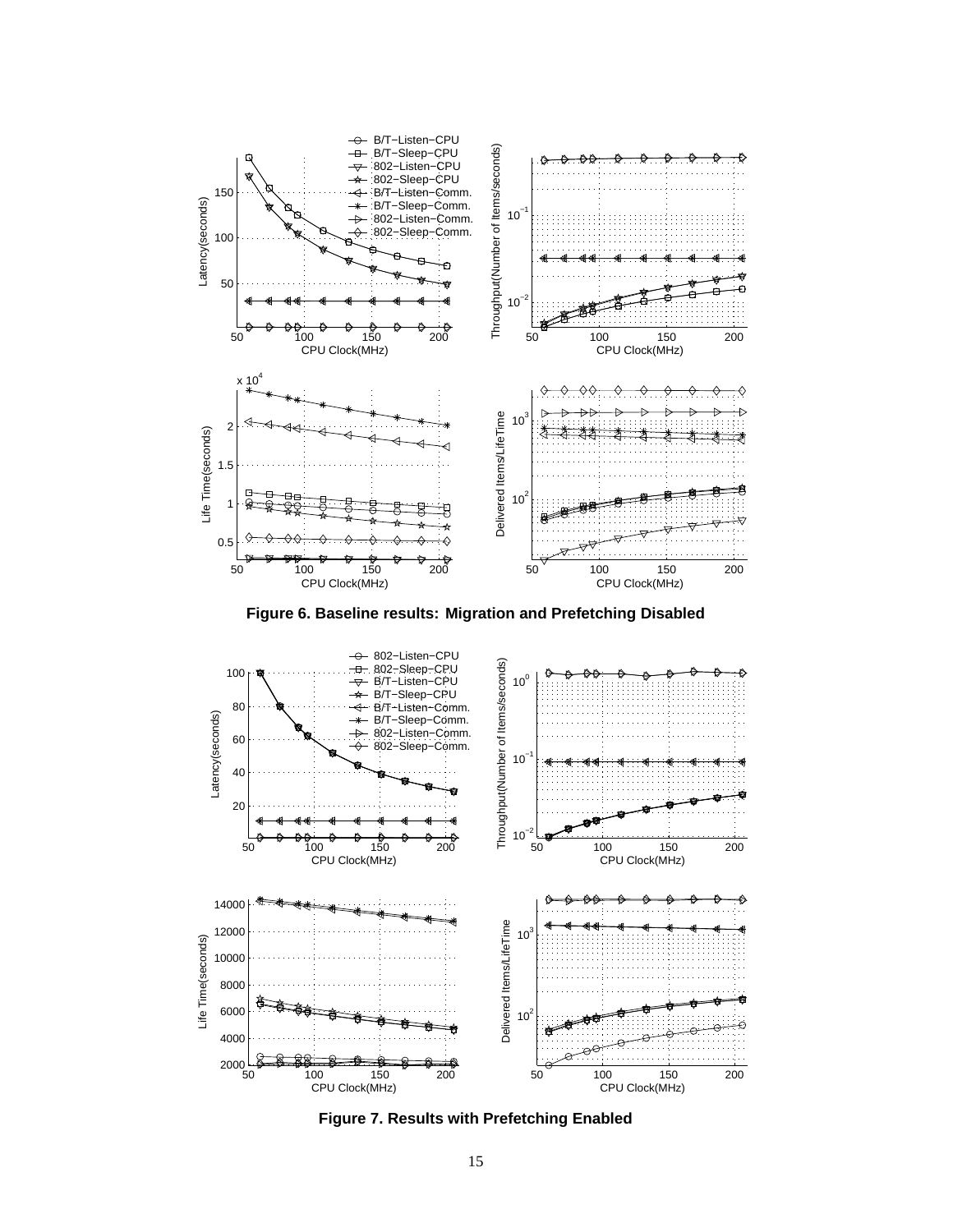

**Figure 6. Baseline results: Migration and Prefetching Disabled**



**Figure 7. Results with Prefetching Enabled**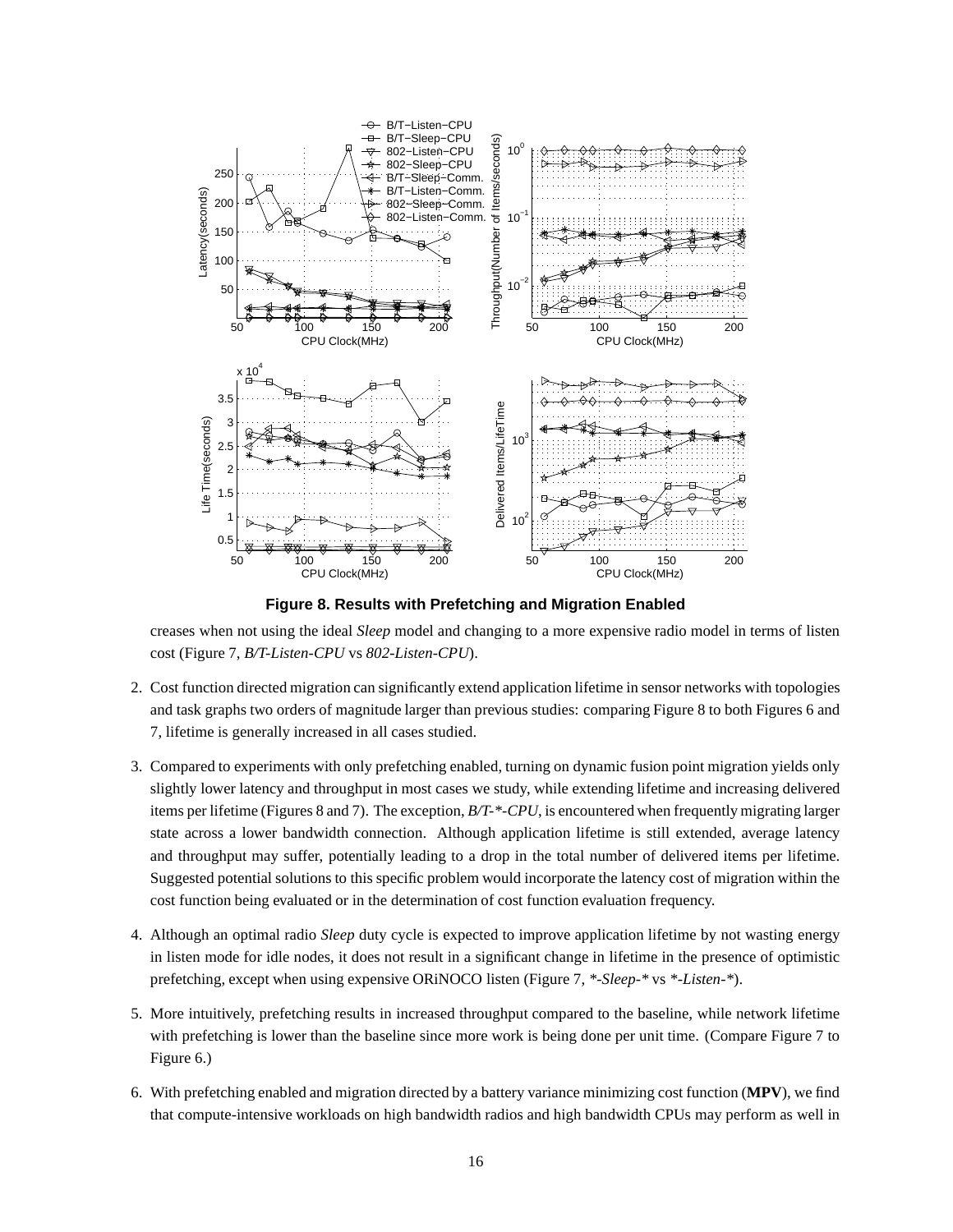

**Figure 8. Results with Prefetching and Migration Enabled**

creases when not using the ideal *Sleep* model and changing to a more expensive radio model in terms of listen cost (Figure 7, *B/T-Listen-CPU* vs *802-Listen-CPU*).

- 2. Cost function directed migration can significantly extend application lifetime in sensor networks with topologies and task graphs two orders of magnitude larger than previous studies: comparing Figure 8 to both Figures 6 and 7, lifetime is generally increased in all cases studied.
- 3. Compared to experiments with only prefetching enabled, turning on dynamic fusion point migration yields only slightly lower latency and throughput in most cases we study, while extending lifetime and increasing delivered items per lifetime (Figures 8 and 7). The exception, *B/T-\*-CPU*, is encountered when frequently migrating larger state across a lower bandwidth connection. Although application lifetime is still extended, average latency and throughput may suffer, potentially leading to a drop in the total number of delivered items per lifetime. Suggested potential solutions to this specific problem would incorporate the latency cost of migration within the cost function being evaluated or in the determination of cost function evaluation frequency.
- 4. Although an optimal radio *Sleep* duty cycle is expected to improve application lifetime by not wasting energy in listen mode for idle nodes, it does not result in a significant change in lifetime in the presence of optimistic prefetching, except when using expensive ORiNOCO listen (Figure 7, *\*-Sleep-\** vs *\*-Listen-\**).
- 5. More intuitively, prefetching results in increased throughput compared to the baseline, while network lifetime with prefetching is lower than the baseline since more work is being done per unit time. (Compare Figure 7 to Figure 6.)
- 6. With prefetching enabled and migration directed by a battery variance minimizing cost function (**MPV**), we find that compute-intensive workloads on high bandwidth radios and high bandwidth CPUs may perform as well in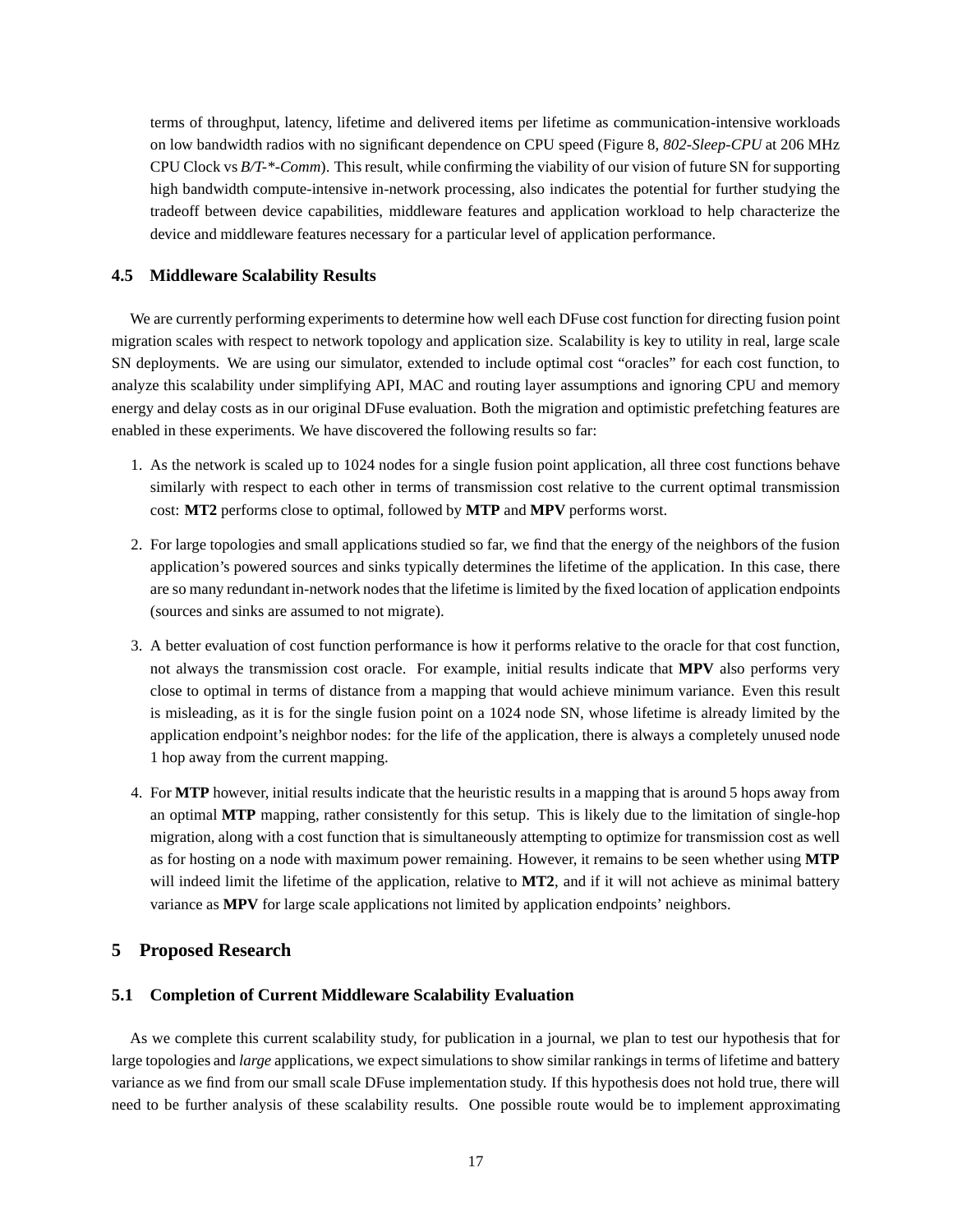terms of throughput, latency, lifetime and delivered items per lifetime as communication-intensive workloads on low bandwidth radios with no significant dependence on CPU speed (Figure 8, *802-Sleep-CPU* at 206 MHz CPU Clock vs *B/T-\*-Comm*). This result, while confirming the viability of our vision of future SN for supporting high bandwidth compute-intensive in-network processing, also indicates the potential for further studying the tradeoff between device capabilities, middleware features and application workload to help characterize the device and middleware features necessary for a particular level of application performance.

## **4.5 Middleware Scalability Results**

We are currently performing experiments to determine how well each DFuse cost function for directing fusion point migration scales with respect to network topology and application size. Scalability is key to utility in real, large scale SN deployments. We are using our simulator, extended to include optimal cost "oracles" for each cost function, to analyze this scalability under simplifying API, MAC and routing layer assumptions and ignoring CPU and memory energy and delay costs as in our original DFuse evaluation. Both the migration and optimistic prefetching features are enabled in these experiments. We have discovered the following results so far:

- 1. As the network is scaled up to 1024 nodes for a single fusion point application, all three cost functions behave similarly with respect to each other in terms of transmission cost relative to the current optimal transmission cost: **MT2** performs close to optimal, followed by **MTP** and **MPV** performs worst.
- 2. For large topologies and small applications studied so far, we find that the energy of the neighbors of the fusion application's powered sources and sinks typically determines the lifetime of the application. In this case, there are so many redundant in-network nodes that the lifetime is limited by the fixed location of application endpoints (sources and sinks are assumed to not migrate).
- 3. A better evaluation of cost function performance is how it performs relative to the oracle for that cost function, not always the transmission cost oracle. For example, initial results indicate that **MPV** also performs very close to optimal in terms of distance from a mapping that would achieve minimum variance. Even this result is misleading, as it is for the single fusion point on a 1024 node SN, whose lifetime is already limited by the application endpoint's neighbor nodes: for the life of the application, there is always a completely unused node 1 hop away from the current mapping.
- 4. For **MTP** however, initial results indicate that the heuristic results in a mapping that is around 5 hops away from an optimal **MTP** mapping, rather consistently for this setup. This is likely due to the limitation of single-hop migration, along with a cost function that is simultaneously attempting to optimize for transmission cost as well as for hosting on a node with maximum power remaining. However, it remains to be seen whether using **MTP** will indeed limit the lifetime of the application, relative to **MT2**, and if it will not achieve as minimal battery variance as **MPV** for large scale applications not limited by application endpoints' neighbors.

# **5 Proposed Research**

## **5.1 Completion of Current Middleware Scalability Evaluation**

As we complete this current scalability study, for publication in a journal, we plan to test our hypothesis that for large topologies and *large* applications, we expect simulations to show similar rankings in terms of lifetime and battery variance as we find from our small scale DFuse implementation study. If this hypothesis does not hold true, there will need to be further analysis of these scalability results. One possible route would be to implement approximating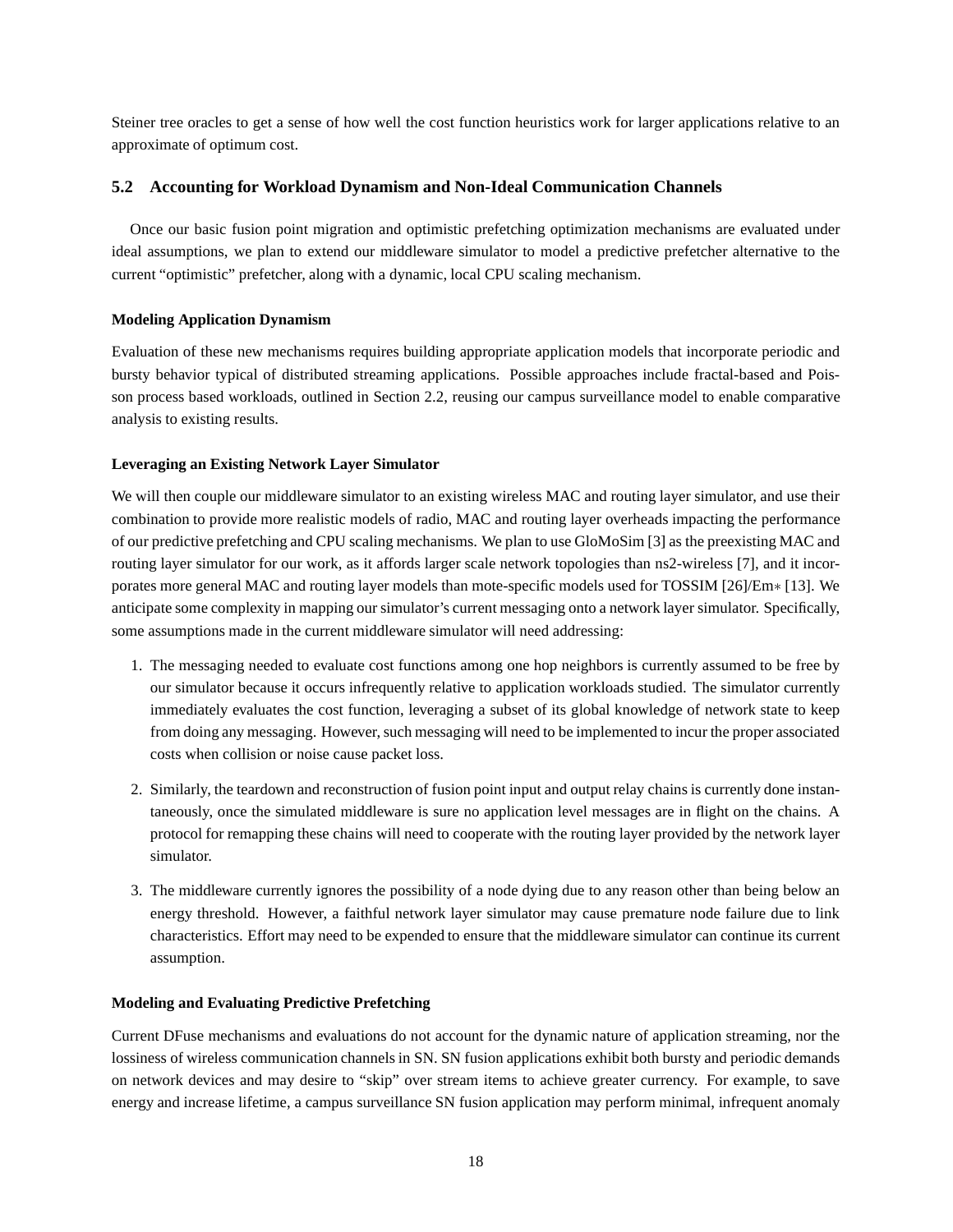Steiner tree oracles to get a sense of how well the cost function heuristics work for larger applications relative to an approximate of optimum cost.

# **5.2 Accounting for Workload Dynamism and Non-Ideal Communication Channels**

Once our basic fusion point migration and optimistic prefetching optimization mechanisms are evaluated under ideal assumptions, we plan to extend our middleware simulator to model a predictive prefetcher alternative to the current "optimistic" prefetcher, along with a dynamic, local CPU scaling mechanism.

# **Modeling Application Dynamism**

Evaluation of these new mechanisms requires building appropriate application models that incorporate periodic and bursty behavior typical of distributed streaming applications. Possible approaches include fractal-based and Poisson process based workloads, outlined in Section 2.2, reusing our campus surveillance model to enable comparative analysis to existing results.

# **Leveraging an Existing Network Layer Simulator**

We will then couple our middleware simulator to an existing wireless MAC and routing layer simulator, and use their combination to provide more realistic models of radio, MAC and routing layer overheads impacting the performance of our predictive prefetching and CPU scaling mechanisms. We plan to use GloMoSim [3] as the preexisting MAC and routing layer simulator for our work, as it affords larger scale network topologies than ns2-wireless [7], and it incorporates more general MAC and routing layer models than mote-specific models used for TOSSIM [26]/Em∗ [13]. We anticipate some complexity in mapping our simulator's current messaging onto a network layer simulator. Specifically, some assumptions made in the current middleware simulator will need addressing:

- 1. The messaging needed to evaluate cost functions among one hop neighbors is currently assumed to be free by our simulator because it occurs infrequently relative to application workloads studied. The simulator currently immediately evaluates the cost function, leveraging a subset of its global knowledge of network state to keep from doing any messaging. However, such messaging will need to be implemented to incur the proper associated costs when collision or noise cause packet loss.
- 2. Similarly, the teardown and reconstruction of fusion point input and output relay chains is currently done instantaneously, once the simulated middleware is sure no application level messages are in flight on the chains. A protocol for remapping these chains will need to cooperate with the routing layer provided by the network layer simulator.
- 3. The middleware currently ignores the possibility of a node dying due to any reason other than being below an energy threshold. However, a faithful network layer simulator may cause premature node failure due to link characteristics. Effort may need to be expended to ensure that the middleware simulator can continue its current assumption.

# **Modeling and Evaluating Predictive Prefetching**

Current DFuse mechanisms and evaluations do not account for the dynamic nature of application streaming, nor the lossiness of wireless communication channels in SN. SN fusion applications exhibit both bursty and periodic demands on network devices and may desire to "skip" over stream items to achieve greater currency. For example, to save energy and increase lifetime, a campus surveillance SN fusion application may perform minimal, infrequent anomaly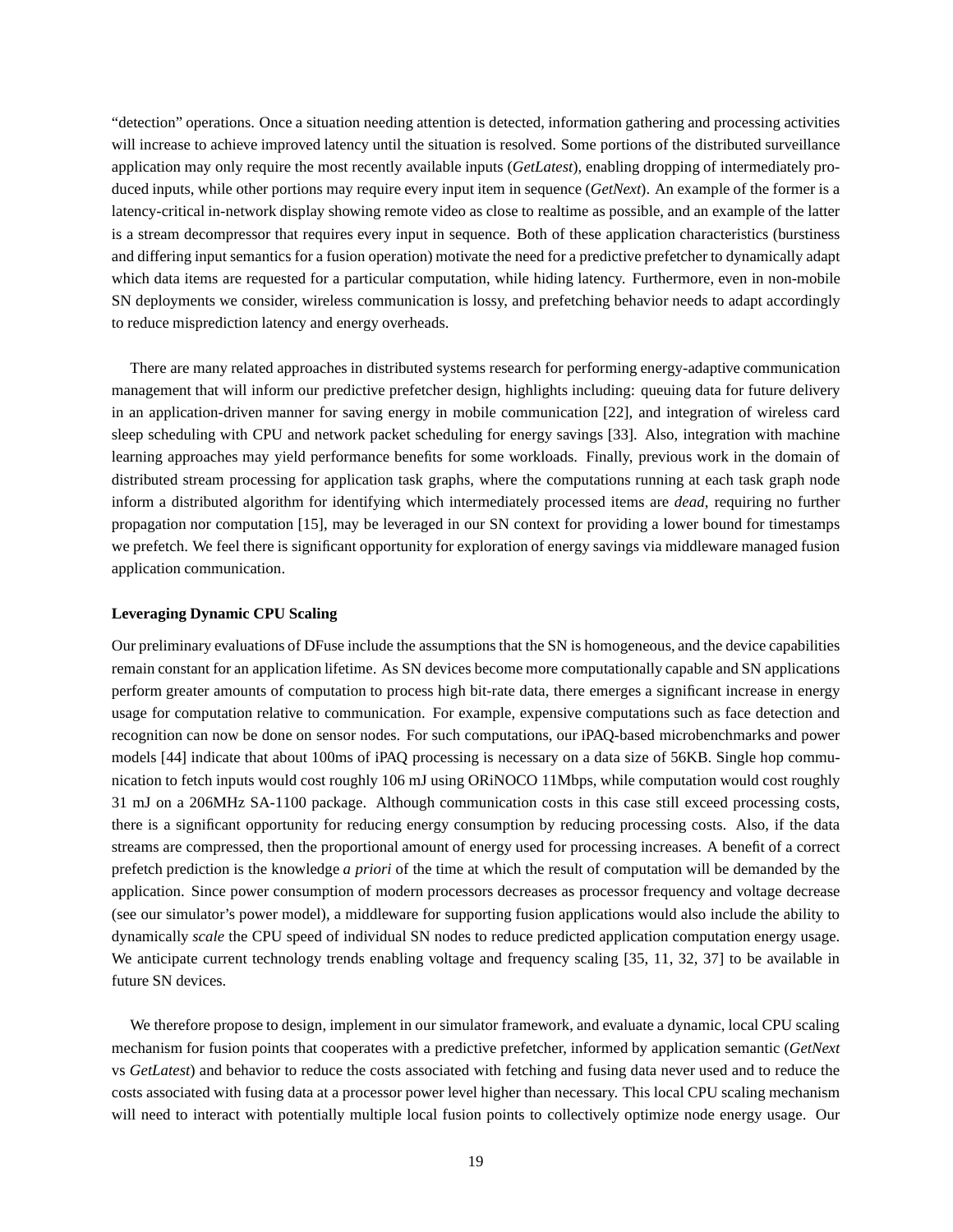"detection" operations. Once a situation needing attention is detected, information gathering and processing activities will increase to achieve improved latency until the situation is resolved. Some portions of the distributed surveillance application may only require the most recently available inputs (*GetLatest*), enabling dropping of intermediately produced inputs, while other portions may require every input item in sequence (*GetNext*). An example of the former is a latency-critical in-network display showing remote video as close to realtime as possible, and an example of the latter is a stream decompressor that requires every input in sequence. Both of these application characteristics (burstiness and differing input semantics for a fusion operation) motivate the need for a predictive prefetcher to dynamically adapt which data items are requested for a particular computation, while hiding latency. Furthermore, even in non-mobile SN deployments we consider, wireless communication is lossy, and prefetching behavior needs to adapt accordingly to reduce misprediction latency and energy overheads.

There are many related approaches in distributed systems research for performing energy-adaptive communication management that will inform our predictive prefetcher design, highlights including: queuing data for future delivery in an application-driven manner for saving energy in mobile communication [22], and integration of wireless card sleep scheduling with CPU and network packet scheduling for energy savings [33]. Also, integration with machine learning approaches may yield performance benefits for some workloads. Finally, previous work in the domain of distributed stream processing for application task graphs, where the computations running at each task graph node inform a distributed algorithm for identifying which intermediately processed items are *dead*, requiring no further propagation nor computation [15], may be leveraged in our SN context for providing a lower bound for timestamps we prefetch. We feel there is significant opportunity for exploration of energy savings via middleware managed fusion application communication.

#### **Leveraging Dynamic CPU Scaling**

Our preliminary evaluations of DFuse include the assumptions that the SN is homogeneous, and the device capabilities remain constant for an application lifetime. As SN devices become more computationally capable and SN applications perform greater amounts of computation to process high bit-rate data, there emerges a significant increase in energy usage for computation relative to communication. For example, expensive computations such as face detection and recognition can now be done on sensor nodes. For such computations, our iPAQ-based microbenchmarks and power models [44] indicate that about 100ms of iPAQ processing is necessary on a data size of 56KB. Single hop communication to fetch inputs would cost roughly 106 mJ using ORiNOCO 11Mbps, while computation would cost roughly 31 mJ on a 206MHz SA-1100 package. Although communication costs in this case still exceed processing costs, there is a significant opportunity for reducing energy consumption by reducing processing costs. Also, if the data streams are compressed, then the proportional amount of energy used for processing increases. A benefit of a correct prefetch prediction is the knowledge *a priori* of the time at which the result of computation will be demanded by the application. Since power consumption of modern processors decreases as processor frequency and voltage decrease (see our simulator's power model), a middleware for supporting fusion applications would also include the ability to dynamically *scale* the CPU speed of individual SN nodes to reduce predicted application computation energy usage. We anticipate current technology trends enabling voltage and frequency scaling [35, 11, 32, 37] to be available in future SN devices.

We therefore propose to design, implement in our simulator framework, and evaluate a dynamic, local CPU scaling mechanism for fusion points that cooperates with a predictive prefetcher, informed by application semantic (*GetNext* vs *GetLatest*) and behavior to reduce the costs associated with fetching and fusing data never used and to reduce the costs associated with fusing data at a processor power level higher than necessary. This local CPU scaling mechanism will need to interact with potentially multiple local fusion points to collectively optimize node energy usage. Our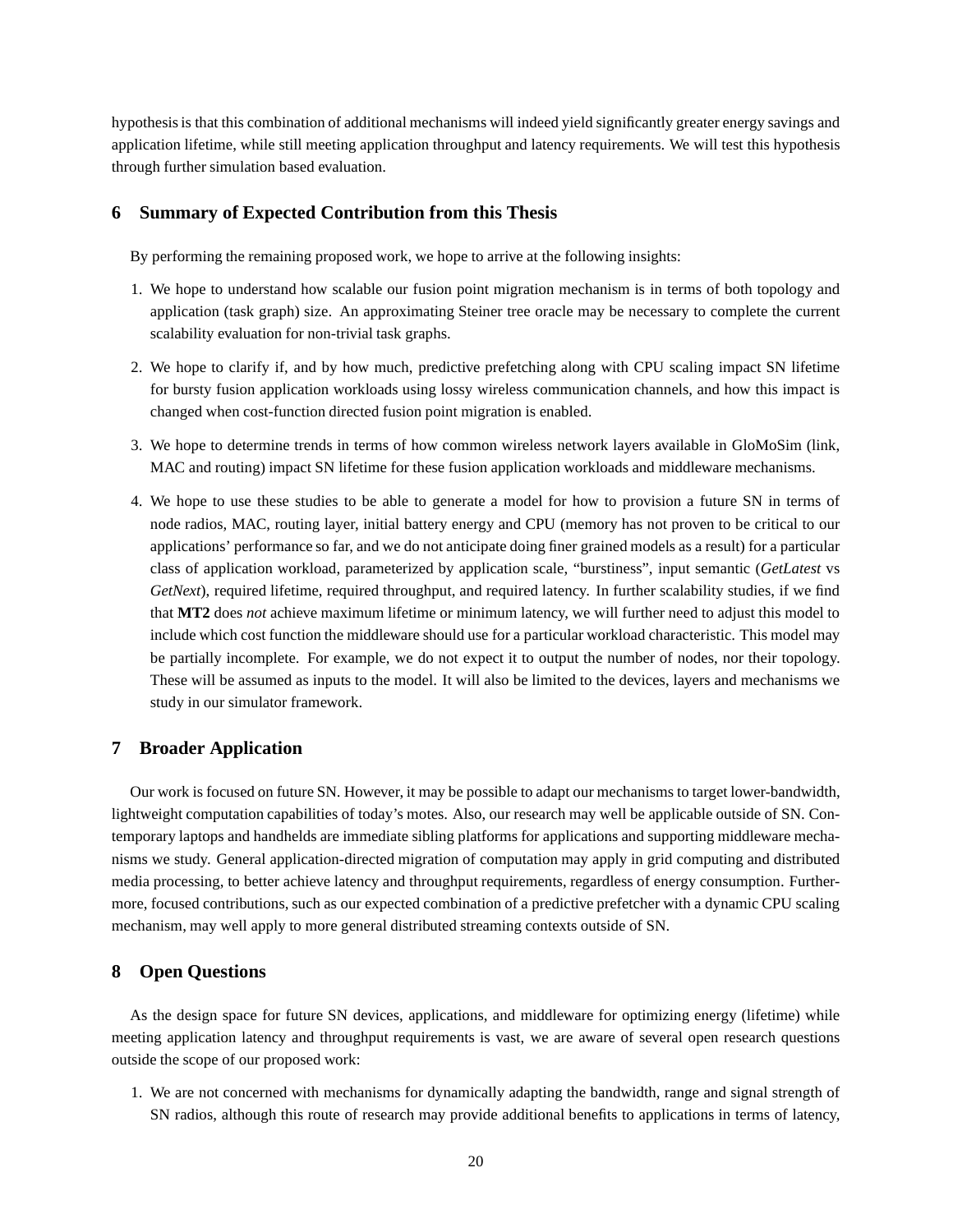hypothesis is that this combination of additional mechanisms will indeed yield significantly greater energy savings and application lifetime, while still meeting application throughput and latency requirements. We will test this hypothesis through further simulation based evaluation.

# **6 Summary of Expected Contribution from this Thesis**

By performing the remaining proposed work, we hope to arrive at the following insights:

- 1. We hope to understand how scalable our fusion point migration mechanism is in terms of both topology and application (task graph) size. An approximating Steiner tree oracle may be necessary to complete the current scalability evaluation for non-trivial task graphs.
- 2. We hope to clarify if, and by how much, predictive prefetching along with CPU scaling impact SN lifetime for bursty fusion application workloads using lossy wireless communication channels, and how this impact is changed when cost-function directed fusion point migration is enabled.
- 3. We hope to determine trends in terms of how common wireless network layers available in GloMoSim (link, MAC and routing) impact SN lifetime for these fusion application workloads and middleware mechanisms.
- 4. We hope to use these studies to be able to generate a model for how to provision a future SN in terms of node radios, MAC, routing layer, initial battery energy and CPU (memory has not proven to be critical to our applications' performance so far, and we do not anticipate doing finer grained models as a result) for a particular class of application workload, parameterized by application scale, "burstiness", input semantic (*GetLatest* vs *GetNext*), required lifetime, required throughput, and required latency. In further scalability studies, if we find that **MT2** does *not* achieve maximum lifetime or minimum latency, we will further need to adjust this model to include which cost function the middleware should use for a particular workload characteristic. This model may be partially incomplete. For example, we do not expect it to output the number of nodes, nor their topology. These will be assumed as inputs to the model. It will also be limited to the devices, layers and mechanisms we study in our simulator framework.

## **7 Broader Application**

Our work is focused on future SN. However, it may be possible to adapt our mechanisms to target lower-bandwidth, lightweight computation capabilities of today's motes. Also, our research may well be applicable outside of SN. Contemporary laptops and handhelds are immediate sibling platforms for applications and supporting middleware mechanisms we study. General application-directed migration of computation may apply in grid computing and distributed media processing, to better achieve latency and throughput requirements, regardless of energy consumption. Furthermore, focused contributions, such as our expected combination of a predictive prefetcher with a dynamic CPU scaling mechanism, may well apply to more general distributed streaming contexts outside of SN.

# **8 Open Questions**

As the design space for future SN devices, applications, and middleware for optimizing energy (lifetime) while meeting application latency and throughput requirements is vast, we are aware of several open research questions outside the scope of our proposed work:

1. We are not concerned with mechanisms for dynamically adapting the bandwidth, range and signal strength of SN radios, although this route of research may provide additional benefits to applications in terms of latency,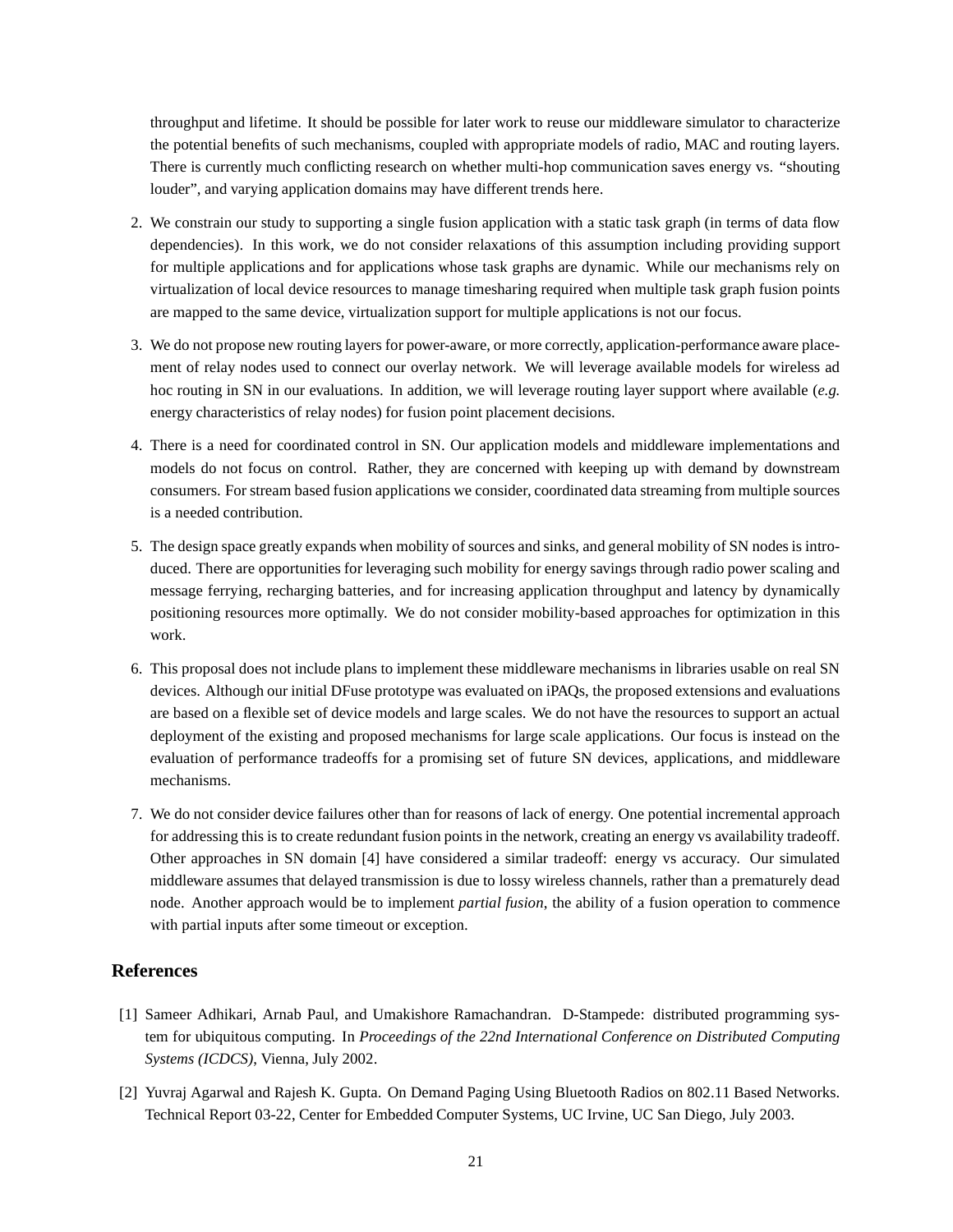throughput and lifetime. It should be possible for later work to reuse our middleware simulator to characterize the potential benefits of such mechanisms, coupled with appropriate models of radio, MAC and routing layers. There is currently much conflicting research on whether multi-hop communication saves energy vs. "shouting louder", and varying application domains may have different trends here.

- 2. We constrain our study to supporting a single fusion application with a static task graph (in terms of data flow dependencies). In this work, we do not consider relaxations of this assumption including providing support for multiple applications and for applications whose task graphs are dynamic. While our mechanisms rely on virtualization of local device resources to manage timesharing required when multiple task graph fusion points are mapped to the same device, virtualization support for multiple applications is not our focus.
- 3. We do not propose new routing layers for power-aware, or more correctly, application-performance aware placement of relay nodes used to connect our overlay network. We will leverage available models for wireless ad hoc routing in SN in our evaluations. In addition, we will leverage routing layer support where available (*e.g.* energy characteristics of relay nodes) for fusion point placement decisions.
- 4. There is a need for coordinated control in SN. Our application models and middleware implementations and models do not focus on control. Rather, they are concerned with keeping up with demand by downstream consumers. For stream based fusion applications we consider, coordinated data streaming from multiple sources is a needed contribution.
- 5. The design space greatly expands when mobility of sources and sinks, and general mobility of SN nodes is introduced. There are opportunities for leveraging such mobility for energy savings through radio power scaling and message ferrying, recharging batteries, and for increasing application throughput and latency by dynamically positioning resources more optimally. We do not consider mobility-based approaches for optimization in this work.
- 6. This proposal does not include plans to implement these middleware mechanisms in libraries usable on real SN devices. Although our initial DFuse prototype was evaluated on iPAQs, the proposed extensions and evaluations are based on a flexible set of device models and large scales. We do not have the resources to support an actual deployment of the existing and proposed mechanisms for large scale applications. Our focus is instead on the evaluation of performance tradeoffs for a promising set of future SN devices, applications, and middleware mechanisms.
- 7. We do not consider device failures other than for reasons of lack of energy. One potential incremental approach for addressing this is to create redundant fusion points in the network, creating an energy vs availability tradeoff. Other approaches in SN domain [4] have considered a similar tradeoff: energy vs accuracy. Our simulated middleware assumes that delayed transmission is due to lossy wireless channels, rather than a prematurely dead node. Another approach would be to implement *partial fusion*, the ability of a fusion operation to commence with partial inputs after some timeout or exception.

# **References**

- [1] Sameer Adhikari, Arnab Paul, and Umakishore Ramachandran. D-Stampede: distributed programming system for ubiquitous computing. In *Proceedings of the 22nd International Conference on Distributed Computing Systems (ICDCS)*, Vienna, July 2002.
- [2] Yuvraj Agarwal and Rajesh K. Gupta. On Demand Paging Using Bluetooth Radios on 802.11 Based Networks. Technical Report 03-22, Center for Embedded Computer Systems, UC Irvine, UC San Diego, July 2003.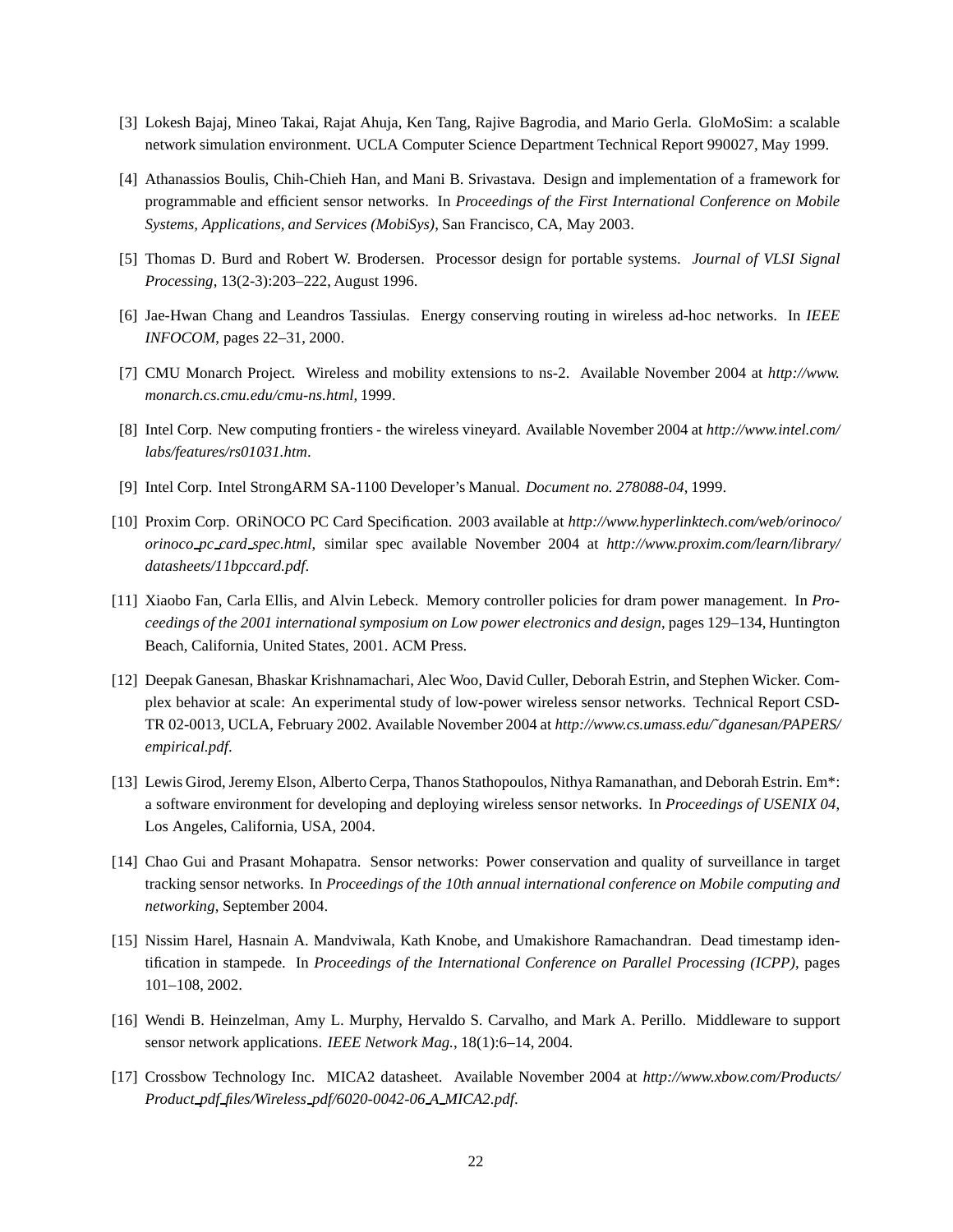- [3] Lokesh Bajaj, Mineo Takai, Rajat Ahuja, Ken Tang, Rajive Bagrodia, and Mario Gerla. GloMoSim: a scalable network simulation environment. UCLA Computer Science Department Technical Report 990027, May 1999.
- [4] Athanassios Boulis, Chih-Chieh Han, and Mani B. Srivastava. Design and implementation of a framework for programmable and efficient sensor networks. In *Proceedings of the First International Conference on Mobile Systems, Applications, and Services (MobiSys)*, San Francisco, CA, May 2003.
- [5] Thomas D. Burd and Robert W. Brodersen. Processor design for portable systems. *Journal of VLSI Signal Processing*, 13(2-3):203–222, August 1996.
- [6] Jae-Hwan Chang and Leandros Tassiulas. Energy conserving routing in wireless ad-hoc networks. In *IEEE INFOCOM*, pages 22–31, 2000.
- [7] CMU Monarch Project. Wireless and mobility extensions to ns-2. Available November 2004 at *http://www. monarch.cs.cmu.edu/cmu-ns.html*, 1999.
- [8] Intel Corp. New computing frontiers the wireless vineyard. Available November 2004 at *http://www.intel.com/ labs/features/rs01031.htm*.
- [9] Intel Corp. Intel StrongARM SA-1100 Developer's Manual. *Document no. 278088-04*, 1999.
- [10] Proxim Corp. ORiNOCO PC Card Specification. 2003 available at *http://www.hyperlinktech.com/web/orinoco/ orinoco pc card spec.html*, similar spec available November 2004 at *http://www.proxim.com/learn/library/ datasheets/11bpccard.pdf*.
- [11] Xiaobo Fan, Carla Ellis, and Alvin Lebeck. Memory controller policies for dram power management. In *Proceedings of the 2001 international symposium on Low power electronics and design*, pages 129–134, Huntington Beach, California, United States, 2001. ACM Press.
- [12] Deepak Ganesan, Bhaskar Krishnamachari, Alec Woo, David Culler, Deborah Estrin, and Stephen Wicker. Complex behavior at scale: An experimental study of low-power wireless sensor networks. Technical Report CSD-TR 02-0013, UCLA, February 2002. Available November 2004 at *http://www.cs.umass.edu/˜dganesan/PAPERS/ empirical.pdf*.
- [13] Lewis Girod, Jeremy Elson, Alberto Cerpa, Thanos Stathopoulos, Nithya Ramanathan, and Deborah Estrin. Em\*: a software environment for developing and deploying wireless sensor networks. In *Proceedings of USENIX 04*, Los Angeles, California, USA, 2004.
- [14] Chao Gui and Prasant Mohapatra. Sensor networks: Power conservation and quality of surveillance in target tracking sensor networks. In *Proceedings of the 10th annual international conference on Mobile computing and networking*, September 2004.
- [15] Nissim Harel, Hasnain A. Mandviwala, Kath Knobe, and Umakishore Ramachandran. Dead timestamp identification in stampede. In *Proceedings of the International Conference on Parallel Processing (ICPP)*, pages 101–108, 2002.
- [16] Wendi B. Heinzelman, Amy L. Murphy, Hervaldo S. Carvalho, and Mark A. Perillo. Middleware to support sensor network applications. *IEEE Network Mag.*, 18(1):6–14, 2004.
- [17] Crossbow Technology Inc. MICA2 datasheet. Available November 2004 at *http://www.xbow.com/Products/ Product pdf files/Wireless pdf/6020-0042-06 A MICA2.pdf*.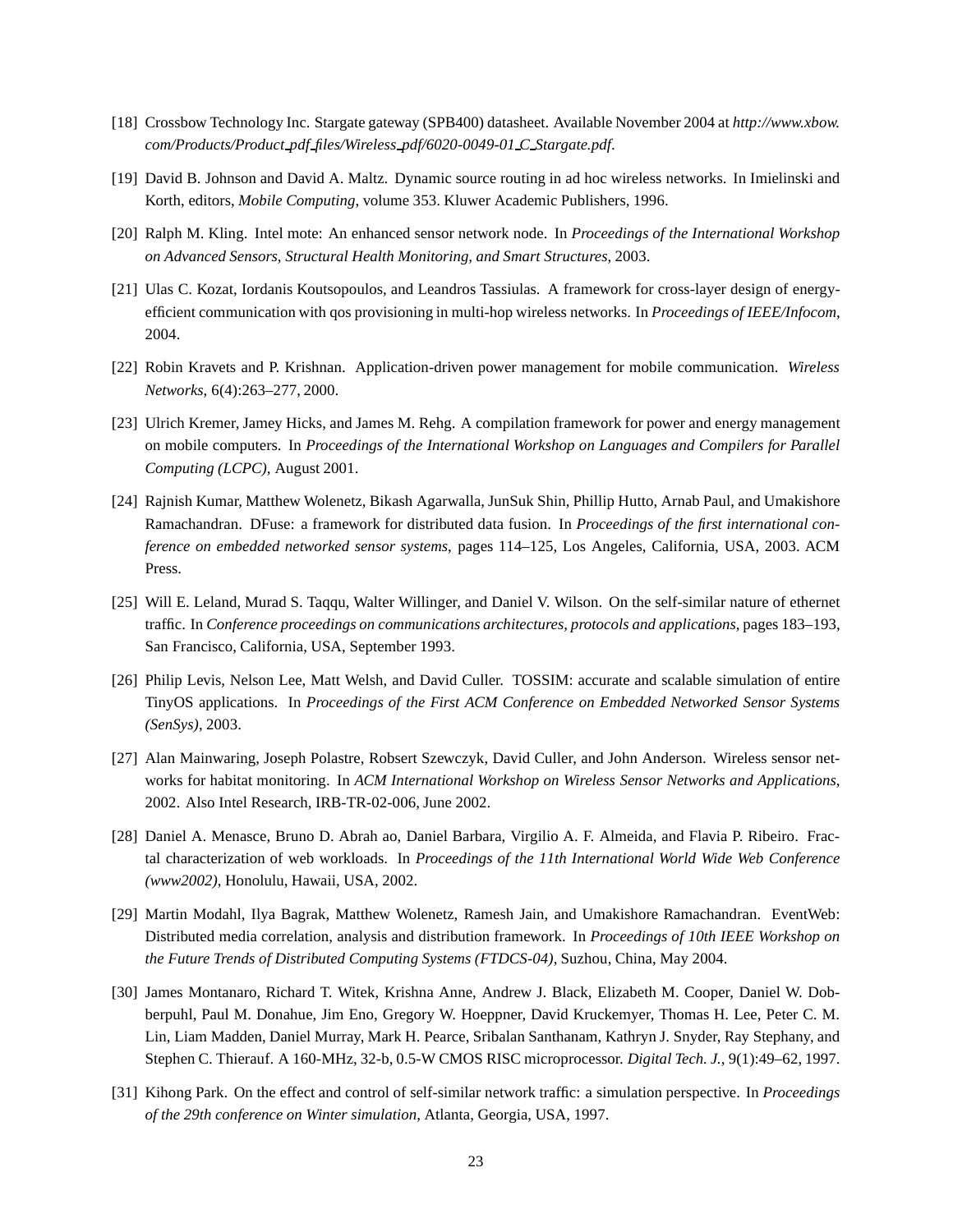- [18] Crossbow Technology Inc. Stargate gateway (SPB400) datasheet. Available November 2004 at *http://www.xbow. com/Products/Product pdf files/Wireless pdf/6020-0049-01 C Stargate.pdf*.
- [19] David B. Johnson and David A. Maltz. Dynamic source routing in ad hoc wireless networks. In Imielinski and Korth, editors, *Mobile Computing*, volume 353. Kluwer Academic Publishers, 1996.
- [20] Ralph M. Kling. Intel mote: An enhanced sensor network node. In *Proceedings of the International Workshop on Advanced Sensors, Structural Health Monitoring, and Smart Structures*, 2003.
- [21] Ulas C. Kozat, Iordanis Koutsopoulos, and Leandros Tassiulas. A framework for cross-layer design of energyefficient communication with qos provisioning in multi-hop wireless networks. In *Proceedings of IEEE/Infocom*, 2004.
- [22] Robin Kravets and P. Krishnan. Application-driven power management for mobile communication. *Wireless Networks*, 6(4):263–277, 2000.
- [23] Ulrich Kremer, Jamey Hicks, and James M. Rehg. A compilation framework for power and energy management on mobile computers. In *Proceedings of the International Workshop on Languages and Compilers for Parallel Computing (LCPC)*, August 2001.
- [24] Rajnish Kumar, Matthew Wolenetz, Bikash Agarwalla, JunSuk Shin, Phillip Hutto, Arnab Paul, and Umakishore Ramachandran. DFuse: a framework for distributed data fusion. In *Proceedings of the first international conference on embedded networked sensor systems*, pages 114–125, Los Angeles, California, USA, 2003. ACM Press.
- [25] Will E. Leland, Murad S. Taqqu, Walter Willinger, and Daniel V. Wilson. On the self-similar nature of ethernet traffic. In *Conference proceedings on communications architectures, protocols and applications*, pages 183–193, San Francisco, California, USA, September 1993.
- [26] Philip Levis, Nelson Lee, Matt Welsh, and David Culler. TOSSIM: accurate and scalable simulation of entire TinyOS applications. In *Proceedings of the First ACM Conference on Embedded Networked Sensor Systems (SenSys)*, 2003.
- [27] Alan Mainwaring, Joseph Polastre, Robsert Szewczyk, David Culler, and John Anderson. Wireless sensor networks for habitat monitoring. In *ACM International Workshop on Wireless Sensor Networks and Applications*, 2002. Also Intel Research, IRB-TR-02-006, June 2002.
- [28] Daniel A. Menasce, Bruno D. Abrah ao, Daniel Barbara, Virgilio A. F. Almeida, and Flavia P. Ribeiro. Fractal characterization of web workloads. In *Proceedings of the 11th International World Wide Web Conference (www2002)*, Honolulu, Hawaii, USA, 2002.
- [29] Martin Modahl, Ilya Bagrak, Matthew Wolenetz, Ramesh Jain, and Umakishore Ramachandran. EventWeb: Distributed media correlation, analysis and distribution framework. In *Proceedings of 10th IEEE Workshop on the Future Trends of Distributed Computing Systems (FTDCS-04)*, Suzhou, China, May 2004.
- [30] James Montanaro, Richard T. Witek, Krishna Anne, Andrew J. Black, Elizabeth M. Cooper, Daniel W. Dobberpuhl, Paul M. Donahue, Jim Eno, Gregory W. Hoeppner, David Kruckemyer, Thomas H. Lee, Peter C. M. Lin, Liam Madden, Daniel Murray, Mark H. Pearce, Sribalan Santhanam, Kathryn J. Snyder, Ray Stephany, and Stephen C. Thierauf. A 160-MHz, 32-b, 0.5-W CMOS RISC microprocessor. *Digital Tech. J.*, 9(1):49–62, 1997.
- [31] Kihong Park. On the effect and control of self-similar network traffic: a simulation perspective. In *Proceedings of the 29th conference on Winter simulation*, Atlanta, Georgia, USA, 1997.